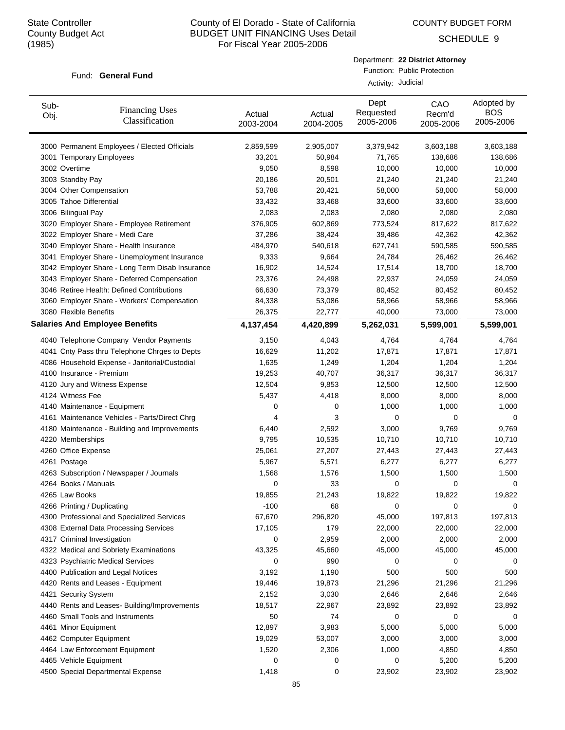COUNTY BUDGET FORM

SCHEDULE 9

#### Fund: General Fund

| Department: 22 District Attorney |
|----------------------------------|
| Function: Public Protection      |

Activity: Judicial

| Sub-<br>Obj. | <b>Financing Uses</b><br>Classification         | Actual<br>2003-2004 | Actual<br>2004-2005 | Dept<br>Requested<br>2005-2006 | CAO<br>Recm'd<br>2005-2006 | Adopted by<br><b>BOS</b><br>2005-2006 |
|--------------|-------------------------------------------------|---------------------|---------------------|--------------------------------|----------------------------|---------------------------------------|
|              | 3000 Permanent Employees / Elected Officials    | 2,859,599           | 2,905,007           | 3,379,942                      | 3,603,188                  | 3,603,188                             |
|              | 3001 Temporary Employees                        | 33,201              | 50,984              | 71,765                         | 138,686                    | 138,686                               |
|              | 3002 Overtime                                   | 9,050               | 8,598               | 10,000                         | 10,000                     | 10,000                                |
|              | 3003 Standby Pay                                | 20,186              | 20,501              | 21,240                         | 21,240                     | 21,240                                |
|              | 3004 Other Compensation                         | 53,788              | 20,421              | 58,000                         | 58,000                     | 58,000                                |
|              | 3005 Tahoe Differential                         | 33,432              | 33,468              | 33,600                         | 33,600                     | 33,600                                |
|              | 3006 Bilingual Pay                              | 2,083               | 2,083               | 2,080                          | 2,080                      | 2,080                                 |
|              | 3020 Employer Share - Employee Retirement       | 376,905             | 602,869             | 773,524                        | 817,622                    | 817,622                               |
|              | 3022 Employer Share - Medi Care                 | 37,286              | 38,424              | 39,486                         | 42,362                     | 42,362                                |
|              | 3040 Employer Share - Health Insurance          | 484,970             | 540,618             | 627,741                        | 590,585                    | 590,585                               |
|              | 3041 Employer Share - Unemployment Insurance    | 9,333               | 9,664               | 24,784                         | 26,462                     | 26,462                                |
|              | 3042 Employer Share - Long Term Disab Insurance | 16,902              | 14,524              | 17,514                         | 18,700                     | 18,700                                |
|              | 3043 Employer Share - Deferred Compensation     | 23,376              | 24,498              | 22,937                         | 24,059                     | 24,059                                |
|              | 3046 Retiree Health: Defined Contributions      | 66,630              | 73,379              | 80,452                         | 80,452                     | 80,452                                |
|              | 3060 Employer Share - Workers' Compensation     | 84,338              | 53,086              | 58,966                         | 58,966                     | 58,966                                |
|              | 3080 Flexible Benefits                          | 26,375              | 22,777              | 40,000                         | 73,000                     | 73,000                                |
|              | <b>Salaries And Employee Benefits</b>           | 4,137,454           | 4,420,899           | 5,262,031                      | 5,599,001                  | 5,599,001                             |
|              | 4040 Telephone Company Vendor Payments          | 3,150               | 4,043               | 4,764                          | 4,764                      | 4,764                                 |
|              | 4041 Cnty Pass thru Telephone Chrges to Depts   | 16,629              | 11,202              | 17,871                         | 17,871                     | 17,871                                |
|              | 4086 Household Expense - Janitorial/Custodial   | 1,635               | 1,249               | 1,204                          | 1,204                      | 1,204                                 |
|              | 4100 Insurance - Premium                        | 19,253              | 40,707              | 36,317                         | 36,317                     | 36,317                                |
|              | 4120 Jury and Witness Expense                   | 12,504              | 9,853               | 12,500                         | 12,500                     | 12,500                                |
|              | 4124 Witness Fee                                | 5,437               | 4,418               | 8,000                          | 8,000                      | 8,000                                 |
|              | 4140 Maintenance - Equipment                    | 0                   | 0                   | 1,000                          | 1,000                      | 1,000                                 |
|              | 4161 Maintenance Vehicles - Parts/Direct Chrg   | 4                   | 3                   | 0                              | $\mathbf 0$                | 0                                     |
|              | 4180 Maintenance - Building and Improvements    | 6,440               | 2,592               | 3,000                          | 9,769                      | 9,769                                 |
|              | 4220 Memberships                                | 9,795               | 10,535              | 10,710                         | 10,710                     | 10,710                                |
|              | 4260 Office Expense                             | 25,061              | 27,207              | 27,443                         | 27,443                     | 27,443                                |
|              | 4261 Postage                                    | 5,967               | 5,571               | 6,277                          | 6,277                      | 6,277                                 |
|              | 4263 Subscription / Newspaper / Journals        | 1,568               | 1,576               | 1,500                          | 1,500                      | 1,500                                 |
|              | 4264 Books / Manuals                            | $\mathbf 0$         | 33                  | 0                              | 0                          | 0                                     |
|              | 4265 Law Books                                  | 19,855              | 21,243              | 19,822                         | 19,822                     | 19,822                                |
|              | 4266 Printing / Duplicating                     | -100                | 68                  | 0                              | 0                          | 0                                     |
|              | 4300 Professional and Specialized Services      | 67,670              | 296,820             | 45,000                         | 197,813                    | 197,813                               |
|              | 4308 External Data Processing Services          | 17,105              | 179                 | 22,000                         | 22,000                     | 22,000                                |
|              | 4317 Criminal Investigation                     | 0                   | 2,959               | 2,000                          | 2,000                      | 2,000                                 |
|              | 4322 Medical and Sobriety Examinations          | 43,325              | 45,660              | 45,000                         | 45,000                     | 45,000                                |
|              | 4323 Psychiatric Medical Services               | 0                   | 990                 | 0                              | 0                          | 0                                     |
|              | 4400 Publication and Legal Notices              | 3,192               | 1,190               | 500                            | 500                        | 500                                   |
|              | 4420 Rents and Leases - Equipment               | 19,446              | 19,873              | 21,296                         | 21,296                     | 21,296                                |
|              | 4421 Security System                            | 2,152               | 3,030               | 2,646                          | 2,646                      | 2,646                                 |
|              | 4440 Rents and Leases- Building/Improvements    | 18,517              | 22,967              | 23,892                         | 23,892                     | 23,892                                |
|              | 4460 Small Tools and Instruments                | 50                  | 74                  | 0                              | 0                          | 0                                     |
|              | 4461 Minor Equipment                            | 12,897              | 3,983               | 5,000                          | 5,000                      | 5,000                                 |
|              | 4462 Computer Equipment                         | 19,029              | 53,007              | 3,000                          | 3,000                      | 3,000                                 |
|              | 4464 Law Enforcement Equipment                  | 1,520               | 2,306               | 1,000                          | 4,850                      | 4,850                                 |
|              | 4465 Vehicle Equipment                          | 0                   | 0                   | 0                              | 5,200                      | 5,200                                 |
|              | 4500 Special Departmental Expense               | 1,418               | 0                   | 23,902                         | 23,902                     | 23,902                                |
|              |                                                 |                     |                     |                                |                            |                                       |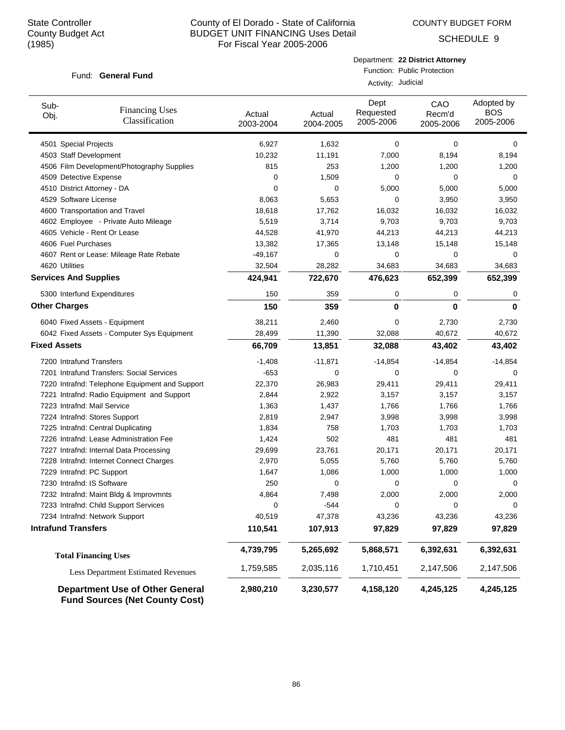COUNTY BUDGET FORM

SCHEDULE 9

#### Fund: General Fund

Department: **22 District Attorney** Function: Public Protection

Activity: Judicial

| Sub-<br>Obj.                 | <b>Financing Uses</b><br>Classification                                         | Actual<br>2003-2004 | Actual<br>2004-2005 | Dept<br>Requested<br>2005-2006 | CAO<br>Recm'd<br>2005-2006 | Adopted by<br><b>BOS</b><br>2005-2006 |
|------------------------------|---------------------------------------------------------------------------------|---------------------|---------------------|--------------------------------|----------------------------|---------------------------------------|
| 4501 Special Projects        |                                                                                 | 6,927               | 1,632               | 0                              | 0                          | 0                                     |
| 4503 Staff Development       |                                                                                 | 10,232              | 11,191              | 7,000                          | 8,194                      | 8,194                                 |
|                              | 4506 Film Development/Photography Supplies                                      | 815                 | 253                 | 1,200                          | 1,200                      | 1,200                                 |
| 4509 Detective Expense       |                                                                                 | 0                   | 1,509               | 0                              | 0                          | 0                                     |
| 4510 District Attorney - DA  |                                                                                 | 0                   | $\mathbf 0$         | 5,000                          | 5,000                      | 5,000                                 |
| 4529 Software License        |                                                                                 | 8,063               | 5,653               | 0                              | 3,950                      | 3,950                                 |
|                              | 4600 Transportation and Travel                                                  | 18,618              | 17,762              | 16,032                         | 16,032                     | 16,032                                |
|                              | 4602 Employee - Private Auto Mileage                                            | 5,519               | 3,714               | 9,703                          | 9,703                      | 9,703                                 |
|                              | 4605 Vehicle - Rent Or Lease                                                    | 44,528              | 41,970              | 44,213                         | 44,213                     | 44,213                                |
| 4606 Fuel Purchases          |                                                                                 | 13,382              | 17,365              | 13,148                         | 15,148                     | 15,148                                |
|                              | 4607 Rent or Lease: Mileage Rate Rebate                                         | $-49,167$           | $\mathbf 0$         | 0                              | 0                          | 0                                     |
| 4620 Utilities               |                                                                                 | 32,504              | 28,282              | 34,683                         | 34,683                     | 34,683                                |
| <b>Services And Supplies</b> |                                                                                 | 424,941             | 722,670             | 476,623                        | 652,399                    | 652,399                               |
|                              | 5300 Interfund Expenditures                                                     | 150                 | 359                 | 0                              | 0                          | 0                                     |
| <b>Other Charges</b>         |                                                                                 | 150                 | 359                 | 0                              | 0                          | 0                                     |
|                              | 6040 Fixed Assets - Equipment                                                   | 38,211              | 2,460               | 0                              | 2,730                      | 2,730                                 |
|                              | 6042 Fixed Assets - Computer Sys Equipment                                      | 28,499              | 11,390              | 32,088                         | 40,672                     | 40,672                                |
| <b>Fixed Assets</b>          |                                                                                 | 66,709              | 13,851              | 32,088                         | 43,402                     | 43,402                                |
| 7200 Intrafund Transfers     |                                                                                 | $-1,408$            | $-11,871$           | $-14,854$                      | $-14,854$                  | $-14,854$                             |
|                              | 7201 Intrafund Transfers: Social Services                                       | $-653$              | 0                   | 0                              | 0                          | 0                                     |
|                              | 7220 Intrafnd: Telephone Equipment and Support                                  | 22,370              | 26,983              | 29,411                         | 29,411                     | 29,411                                |
|                              | 7221 Intrafnd: Radio Equipment and Support                                      | 2,844               | 2,922               | 3,157                          | 3,157                      | 3,157                                 |
| 7223 Intrafnd: Mail Service  |                                                                                 | 1,363               | 1,437               | 1,766                          | 1,766                      | 1,766                                 |
|                              | 7224 Intrafnd: Stores Support                                                   | 2,819               | 2,947               | 3,998                          | 3,998                      | 3,998                                 |
|                              | 7225 Intrafnd: Central Duplicating                                              | 1,834               | 758                 | 1,703                          | 1,703                      | 1,703                                 |
|                              | 7226 Intrafnd: Lease Administration Fee                                         | 1,424               | 502                 | 481                            | 481                        | 481                                   |
|                              | 7227 Intrafnd: Internal Data Processing                                         | 29,699              | 23,761              | 20,171                         | 20,171                     | 20,171                                |
|                              | 7228 Intrafnd: Internet Connect Charges                                         | 2,970               | 5,055               | 5,760                          | 5,760                      | 5,760                                 |
| 7229 Intrafnd: PC Support    |                                                                                 | 1,647               | 1,086               | 1,000                          | 1,000                      | 1,000                                 |
| 7230 Intrafnd: IS Software   |                                                                                 | 250                 | 0                   | 0                              | 0                          | 0                                     |
|                              | 7232 Intrafnd: Maint Bldg & Improvmnts                                          | 4,864               | 7,498               | 2,000                          | 2,000                      | 2,000                                 |
|                              | 7233 Intrafnd: Child Support Services                                           | U                   | $-544$              | 0                              | 0                          | U                                     |
|                              | 7234 Intrafnd: Network Support                                                  | 40,519              | 47,378              | 43,236                         | 43,236                     | 43,236                                |
| <b>Intrafund Transfers</b>   |                                                                                 | 110,541             | 107,913             | 97,829                         | 97,829                     | 97,829                                |
|                              | <b>Total Financing Uses</b>                                                     | 4,739,795           | 5,265,692           | 5,868,571                      | 6,392,631                  | 6,392,631                             |
|                              | <b>Less Department Estimated Revenues</b>                                       | 1,759,585           | 2,035,116           | 1,710,451                      | 2,147,506                  | 2,147,506                             |
|                              | <b>Department Use of Other General</b><br><b>Fund Sources (Net County Cost)</b> | 2,980,210           | 3,230,577           | 4,158,120                      | 4,245,125                  | 4,245,125                             |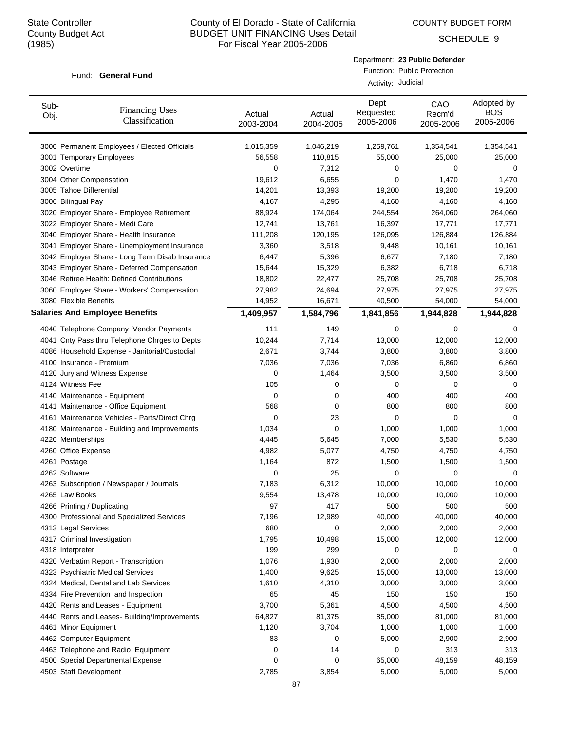COUNTY BUDGET FORM

SCHEDULE 9

#### Fund: General Fund

| Department: 23 Public Defender |
|--------------------------------|
| Function: Public Protection    |

Activity: Judicial

| Sub-<br>Obj. | <b>Financing Uses</b><br>Classification         | Actual<br>2003-2004 | Actual<br>2004-2005 | Dept<br>Requested<br>2005-2006 | CAO<br>Recm'd<br>2005-2006 | Adopted by<br><b>BOS</b><br>2005-2006 |
|--------------|-------------------------------------------------|---------------------|---------------------|--------------------------------|----------------------------|---------------------------------------|
|              | 3000 Permanent Employees / Elected Officials    | 1,015,359           | 1,046,219           | 1,259,761                      | 1,354,541                  | 1,354,541                             |
|              | 3001 Temporary Employees                        | 56,558              | 110,815             | 55,000                         | 25,000                     | 25,000                                |
|              | 3002 Overtime                                   | 0                   | 7,312               | 0                              | 0                          | 0                                     |
|              | 3004 Other Compensation                         | 19,612              | 6,655               | 0                              | 1,470                      | 1,470                                 |
|              | 3005 Tahoe Differential                         | 14,201              | 13,393              | 19,200                         | 19,200                     | 19,200                                |
|              | 3006 Bilingual Pay                              | 4,167               | 4,295               | 4,160                          | 4,160                      | 4,160                                 |
|              | 3020 Employer Share - Employee Retirement       | 88,924              | 174,064             | 244,554                        | 264,060                    | 264,060                               |
|              | 3022 Employer Share - Medi Care                 | 12,741              | 13,761              | 16,397                         | 17,771                     | 17,771                                |
|              | 3040 Employer Share - Health Insurance          | 111,208             | 120,195             | 126,095                        | 126,884                    | 126,884                               |
|              | 3041 Employer Share - Unemployment Insurance    | 3,360               | 3,518               | 9,448                          | 10,161                     | 10,161                                |
|              | 3042 Employer Share - Long Term Disab Insurance | 6,447               | 5,396               | 6,677                          | 7,180                      | 7,180                                 |
|              | 3043 Employer Share - Deferred Compensation     | 15,644              | 15,329              | 6,382                          | 6,718                      | 6,718                                 |
|              | 3046 Retiree Health: Defined Contributions      | 18,802              | 22,477              | 25,708                         | 25,708                     | 25,708                                |
|              | 3060 Employer Share - Workers' Compensation     | 27,982              | 24,694              | 27,975                         | 27,975                     | 27,975                                |
|              | 3080 Flexible Benefits                          | 14,952              | 16,671              | 40,500                         | 54,000                     | 54,000                                |
|              | <b>Salaries And Employee Benefits</b>           | 1,409,957           | 1,584,796           | 1,841,856                      | 1,944,828                  | 1,944,828                             |
|              | 4040 Telephone Company Vendor Payments          | 111                 | 149                 | 0                              | 0                          | 0                                     |
|              | 4041 Cnty Pass thru Telephone Chrges to Depts   | 10,244              | 7,714               | 13,000                         | 12,000                     | 12,000                                |
|              | 4086 Household Expense - Janitorial/Custodial   | 2,671               | 3,744               | 3,800                          | 3,800                      | 3,800                                 |
|              | 4100 Insurance - Premium                        | 7,036               | 7,036               | 7,036                          | 6,860                      | 6,860                                 |
|              | 4120 Jury and Witness Expense                   | 0                   | 1,464               | 3,500                          | 3,500                      | 3,500                                 |
|              | 4124 Witness Fee                                | 105                 | 0                   | 0                              | 0                          | 0                                     |
|              | 4140 Maintenance - Equipment                    | 0                   | 0                   | 400                            | 400                        | 400                                   |
|              | 4141 Maintenance - Office Equipment             | 568                 | 0                   | 800                            | 800                        | 800                                   |
|              | 4161 Maintenance Vehicles - Parts/Direct Chrg   | 0                   | 23                  | 0                              | $\mathbf 0$                | $\mathbf 0$                           |
|              | 4180 Maintenance - Building and Improvements    | 1,034               | 0                   | 1,000                          | 1,000                      | 1,000                                 |
|              | 4220 Memberships                                | 4,445               | 5,645               | 7,000                          | 5,530                      | 5,530                                 |
|              | 4260 Office Expense                             | 4,982               | 5,077               | 4,750                          | 4,750                      | 4,750                                 |
|              | 4261 Postage                                    | 1,164               | 872                 | 1,500                          | 1,500                      | 1,500                                 |
|              | 4262 Software                                   | 0                   | 25                  | 0                              | 0                          | 0                                     |
|              | 4263 Subscription / Newspaper / Journals        | 7,183               | 6,312               | 10,000                         | 10,000                     | 10,000                                |
|              | 4265 Law Books                                  | 9,554               | 13,478              | 10,000                         | 10,000                     | 10,000                                |
|              | 4266 Printing / Duplicating                     | 97                  | 417                 | 500                            | 500                        | 500                                   |
|              | 4300 Professional and Specialized Services      | 7,196               | 12,989              | 40,000                         | 40,000                     | 40,000                                |
|              | 4313 Legal Services                             | 680                 | 0                   | 2,000                          | 2,000                      | 2,000                                 |
|              | 4317 Criminal Investigation                     | 1,795               | 10,498              | 15,000                         | 12,000                     | 12,000                                |
|              | 4318 Interpreter                                | 199                 | 299                 | 0                              | 0                          | 0                                     |
|              | 4320 Verbatim Report - Transcription            | 1,076               | 1,930               | 2,000                          | 2,000                      | 2,000                                 |
|              | 4323 Psychiatric Medical Services               | 1,400               | 9,625               | 15,000                         | 13,000                     | 13,000                                |
|              | 4324 Medical, Dental and Lab Services           | 1,610               | 4,310               | 3,000                          | 3,000                      | 3,000                                 |
|              | 4334 Fire Prevention and Inspection             | 65                  | 45                  | 150                            | 150                        | 150                                   |
|              | 4420 Rents and Leases - Equipment               | 3,700               | 5,361               | 4,500                          | 4,500                      | 4,500                                 |
|              | 4440 Rents and Leases- Building/Improvements    | 64,827              | 81,375              | 85,000                         | 81,000                     | 81,000                                |
|              | 4461 Minor Equipment                            | 1,120               | 3,704               | 1,000                          | 1,000                      | 1,000                                 |
|              | 4462 Computer Equipment                         | 83                  | 0                   | 5,000                          | 2,900                      | 2,900                                 |
|              | 4463 Telephone and Radio Equipment              | 0                   | 14                  | 0                              | 313                        | 313                                   |
|              | 4500 Special Departmental Expense               | 0                   | 0                   | 65,000                         | 48,159                     | 48,159                                |
|              | 4503 Staff Development                          | 2,785               | 3,854               | 5,000                          | 5,000                      | 5,000                                 |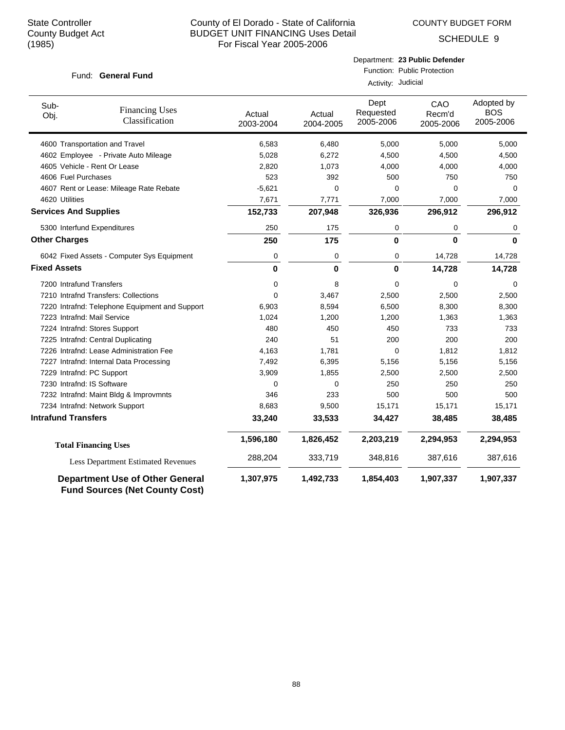COUNTY BUDGET FORM

SCHEDULE 9

#### Fund: General Fund

| Department: 23 Public Defender |
|--------------------------------|
| _______                        |

Function: Public Protection Activity: Judicial

| Sub-<br>Obj.                 | <b>Financing Uses</b><br>Classification                                         | Actual<br>2003-2004 | Actual<br>2004-2005 | Dept<br>Requested<br>2005-2006 | CAO<br>Recm'd<br>2005-2006 | Adopted by<br><b>BOS</b><br>2005-2006 |
|------------------------------|---------------------------------------------------------------------------------|---------------------|---------------------|--------------------------------|----------------------------|---------------------------------------|
|                              | 4600 Transportation and Travel                                                  | 6,583               | 6,480               | 5,000                          | 5,000                      | 5,000                                 |
|                              | 4602 Employee - Private Auto Mileage                                            | 5,028               | 6,272               | 4,500                          | 4,500                      | 4,500                                 |
|                              | 4605 Vehicle - Rent Or Lease                                                    | 2,820               | 1,073               | 4,000                          | 4,000                      | 4,000                                 |
| 4606 Fuel Purchases          |                                                                                 | 523                 | 392                 | 500                            | 750                        | 750                                   |
|                              | 4607 Rent or Lease: Mileage Rate Rebate                                         | $-5,621$            | 0                   | 0                              | 0                          | $\Omega$                              |
| 4620 Utilities               |                                                                                 | 7,671               | 7,771               | 7,000                          | 7,000                      | 7,000                                 |
| <b>Services And Supplies</b> |                                                                                 | 152,733             | 207,948             | 326,936                        | 296,912                    | 296,912                               |
|                              | 5300 Interfund Expenditures                                                     | 250                 | 175                 | 0                              | 0                          | 0                                     |
| <b>Other Charges</b>         |                                                                                 | 250                 | 175                 | 0                              | $\bf{0}$                   | $\mathbf{0}$                          |
|                              | 6042 Fixed Assets - Computer Sys Equipment                                      | 0                   | 0                   | 0                              | 14,728                     | 14,728                                |
| <b>Fixed Assets</b>          |                                                                                 | $\bf{0}$            | 0                   | 0                              | 14,728                     | 14,728                                |
| 7200 Intrafund Transfers     |                                                                                 | 0                   | 8                   | 0                              | 0                          | 0                                     |
|                              | 7210 Intrafnd Transfers: Collections                                            | $\mathbf 0$         | 3,467               | 2,500                          | 2,500                      | 2,500                                 |
|                              | 7220 Intrafnd: Telephone Equipment and Support                                  | 6,903               | 8,594               | 6,500                          | 8,300                      | 8,300                                 |
| 7223 Intrafnd: Mail Service  |                                                                                 | 1,024               | 1,200               | 1,200                          | 1,363                      | 1,363                                 |
|                              | 7224 Intrafnd: Stores Support                                                   | 480                 | 450                 | 450                            | 733                        | 733                                   |
|                              | 7225 Intrafnd: Central Duplicating                                              | 240                 | 51                  | 200                            | 200                        | 200                                   |
|                              | 7226 Intrafnd: Lease Administration Fee                                         | 4,163               | 1,781               | 0                              | 1,812                      | 1,812                                 |
|                              | 7227 Intrafnd: Internal Data Processing                                         | 7,492               | 6,395               | 5,156                          | 5,156                      | 5,156                                 |
| 7229 Intrafnd: PC Support    |                                                                                 | 3,909               | 1,855               | 2,500                          | 2,500                      | 2,500                                 |
| 7230 Intrafnd: IS Software   |                                                                                 | $\Omega$            | 0                   | 250                            | 250                        | 250                                   |
|                              | 7232 Intrafnd: Maint Bldg & Improvmnts                                          | 346                 | 233                 | 500                            | 500                        | 500                                   |
|                              | 7234 Intrafnd: Network Support                                                  | 8,683               | 9,500               | 15,171                         | 15,171                     | 15,171                                |
| <b>Intrafund Transfers</b>   |                                                                                 | 33,240              | 33,533              | 34,427                         | 38,485                     | 38,485                                |
|                              | <b>Total Financing Uses</b>                                                     | 1,596,180           | 1,826,452           | 2,203,219                      | 2,294,953                  | 2,294,953                             |
|                              | Less Department Estimated Revenues                                              | 288,204             | 333,719             | 348,816                        | 387,616                    | 387,616                               |
|                              | <b>Department Use of Other General</b><br><b>Fund Sources (Net County Cost)</b> | 1,307,975           | 1,492,733           | 1,854,403                      | 1,907,337                  | 1,907,337                             |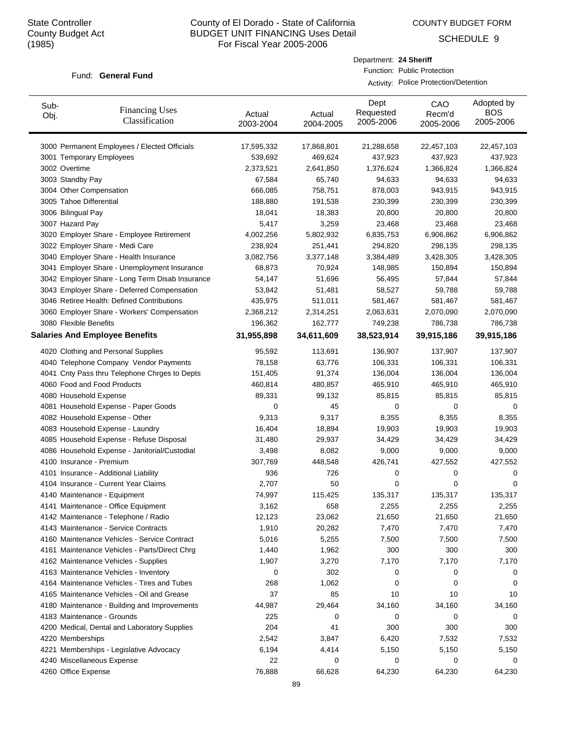Sub-

# County of El Dorado - State of California BUDGET UNIT FINANCING Uses Detail For Fiscal Year 2005-2006

Dept Requested

Department: **24 Sheriff**

Function: Public Protection

Activity: Police Protection/Detention

CAO Recm'd

COUNTY BUDGET FORM

SCHEDULE 9

Adopted by **BOS** 

#### Fund: General Fund

| ວuɒ-<br>Obj. | <b>Financing Uses</b><br>Classification         | Actual<br>2003-2004 | Actual<br>2004-2005 | Requested<br>2005-2006 | ◡◠◡<br>Recm'd<br>2005-2006 | <b>BOS</b><br>2005-2006 |
|--------------|-------------------------------------------------|---------------------|---------------------|------------------------|----------------------------|-------------------------|
|              | 3000 Permanent Employees / Elected Officials    | 17,595,332          | 17,868,801          | 21,288,658             | 22,457,103                 | 22,457,103              |
|              | 3001 Temporary Employees                        | 539,692             | 469,624             | 437,923                | 437,923                    | 437,923                 |
|              | 3002 Overtime                                   | 2,373,521           | 2,641,850           | 1,376,624              | 1,366,824                  | 1,366,824               |
|              | 3003 Standby Pay                                | 67,584              | 65,740              | 94,633                 | 94,633                     | 94,633                  |
|              | 3004 Other Compensation                         | 666,085             | 758,751             | 878,003                | 943,915                    | 943,915                 |
|              | 3005 Tahoe Differential                         | 188,880             | 191,538             | 230,399                | 230,399                    | 230,399                 |
|              | 3006 Bilingual Pay                              | 18,041              | 18,383              | 20,800                 | 20,800                     | 20,800                  |
|              | 3007 Hazard Pay                                 | 5,417               | 3,259               | 23,468                 | 23,468                     | 23,468                  |
|              | 3020 Employer Share - Employee Retirement       | 4,002,256           | 5,802,932           | 6,835,753              | 6,906,862                  | 6,906,862               |
|              | 3022 Employer Share - Medi Care                 | 238,924             | 251,441             | 294,820                | 298,135                    | 298,135                 |
|              | 3040 Employer Share - Health Insurance          | 3,082,756           | 3,377,148           | 3,384,489              | 3,428,305                  | 3,428,305               |
|              | 3041 Employer Share - Unemployment Insurance    | 68,873              | 70,924              | 148,985                | 150,894                    | 150,894                 |
|              | 3042 Employer Share - Long Term Disab Insurance | 54,147              | 51,696              | 56,495                 | 57,844                     | 57,844                  |
|              | 3043 Employer Share - Deferred Compensation     | 53,842              | 51,481              | 58,527                 | 59,788                     | 59,788                  |
|              | 3046 Retiree Health: Defined Contributions      | 435,975             | 511,011             | 581,467                | 581,467                    | 581,467                 |
|              | 3060 Employer Share - Workers' Compensation     | 2,368,212           | 2,314,251           | 2,063,631              | 2,070,090                  | 2,070,090               |
|              | 3080 Flexible Benefits                          | 196,362             | 162,777             | 749,238                | 786,738                    | 786,738                 |
|              | <b>Salaries And Employee Benefits</b>           | 31,955,898          | 34,611,609          | 38,523,914             | 39,915,186                 | 39,915,186              |
|              |                                                 |                     |                     |                        |                            |                         |
|              | 4020 Clothing and Personal Supplies             | 95,592              | 113,691             | 136,907                | 137,907                    | 137,907                 |
|              | 4040 Telephone Company Vendor Payments          | 78,158              | 63,776              | 106,331                | 106,331                    | 106,331                 |
|              | 4041 Cnty Pass thru Telephone Chrges to Depts   | 151,405             | 91,374              | 136,004                | 136,004                    | 136,004                 |
|              | 4060 Food and Food Products                     | 460,814             | 480,857             | 465,910                | 465,910                    | 465,910                 |
|              | 4080 Household Expense                          | 89,331              | 99,132              | 85,815                 | 85,815                     | 85,815                  |
|              | 4081 Household Expense - Paper Goods            | 0                   | 45                  | 0                      | 0                          | 0                       |
|              | 4082 Household Expense - Other                  | 9,313               | 9,317               | 8,355                  | 8,355                      | 8,355                   |
|              | 4083 Household Expense - Laundry                | 16,404              | 18,894              | 19,903                 | 19,903                     | 19,903                  |
|              | 4085 Household Expense - Refuse Disposal        | 31,480              | 29,937              | 34,429                 | 34,429                     | 34,429                  |
|              | 4086 Household Expense - Janitorial/Custodial   | 3,498               | 8,082               | 9,000                  | 9,000                      | 9,000                   |
|              | 4100 Insurance - Premium                        | 307,769             | 448,548             | 426,741                | 427,552                    | 427,552                 |
|              | 4101 Insurance - Additional Liability           | 936                 | 726                 | 0                      | 0                          | 0                       |
|              | 4104 Insurance - Current Year Claims            | 2,707               | 50                  | 0                      | 0                          | 0                       |
|              | 4140 Maintenance - Equipment                    | 74,997              | 115,425             | 135,317                | 135,317                    | 135,317                 |
|              | 4141 Maintenance - Office Equipment             | 3,162               | 658                 | 2,255                  | 2,255                      | 2,255                   |
|              | 4142 Maintenance - Telephone / Radio            | 12,123              | 23,062              | 21,650                 | 21,650                     | 21,650                  |
|              | 4143 Maintenance - Service Contracts            | 1,910               | 20,282              | 7,470                  | 7,470                      | 7,470                   |
|              | 4160 Maintenance Vehicles - Service Contract    | 5,016               | 5,255               | 7,500                  | 7,500                      | 7,500                   |
|              | 4161 Maintenance Vehicles - Parts/Direct Chrg   | 1,440               | 1,962               | 300                    | 300                        | 300                     |
|              | 4162 Maintenance Vehicles - Supplies            | 1,907               | 3,270               | 7,170                  | 7,170                      | 7,170                   |
|              | 4163 Maintenance Vehicles - Inventory           | 0                   | 302                 | 0                      | 0                          | 0                       |
|              | 4164 Maintenance Vehicles - Tires and Tubes     | 268                 | 1,062               | 0                      | 0                          | 0                       |
|              | 4165 Maintenance Vehicles - Oil and Grease      | 37                  | 85                  | 10                     | 10                         | 10                      |
|              | 4180 Maintenance - Building and Improvements    | 44,987              | 29,464              | 34,160                 | 34,160                     | 34,160                  |
|              | 4183 Maintenance - Grounds                      | 225                 | 0                   | 0                      | 0                          | 0                       |
|              | 4200 Medical, Dental and Laboratory Supplies    | 204                 | 41                  | 300                    | 300                        | 300                     |
|              | 4220 Memberships                                | 2,542               | 3,847               | 6,420                  | 7,532                      | 7,532                   |
|              | 4221 Memberships - Legislative Advocacy         | 6,194               | 4,414               | 5,150                  | 5,150                      | 5,150                   |
|              | 4240 Miscellaneous Expense                      | 22                  | 0                   | 0                      | 0                          | 0                       |
|              | 4260 Office Expense                             | 76,888              | 66,628              | 64,230                 | 64,230                     | 64,230                  |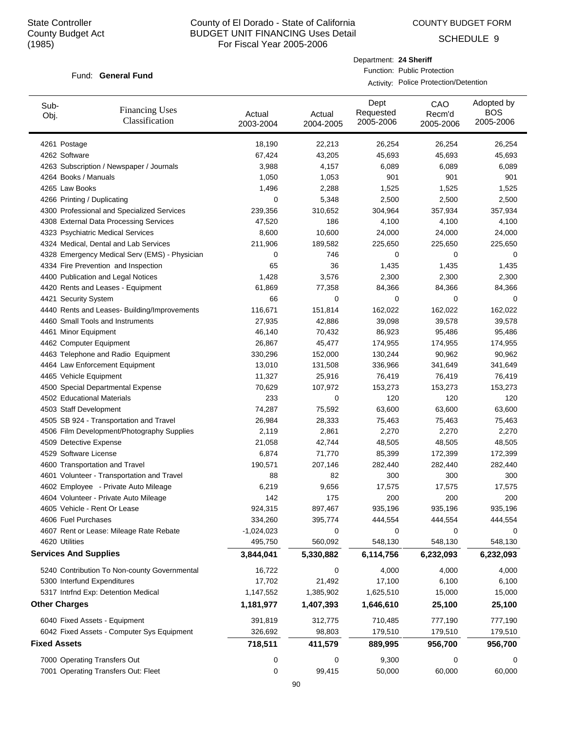Sub-

# County of El Dorado - State of California BUDGET UNIT FINANCING Uses Detail For Fiscal Year 2005-2006

COUNTY BUDGET FORM

Dept

Department: **24 Sheriff**

Function: Public Protection

Activity: Police Protection/Detention

CAO

SCHEDULE 9

Adopted by

#### Fund: General Fund

Financing Uses

| ouu-<br>Obj.        | <b>Financing Uses</b><br>Classification       | Actual<br>2003-2004 | Actual<br>2004-2005 | Requested<br>2005-2006 | Recm'd<br>2005-2006 | <b>BOS</b><br>2005-2006 |
|---------------------|-----------------------------------------------|---------------------|---------------------|------------------------|---------------------|-------------------------|
|                     | 4261 Postage                                  | 18,190              | 22,213              | 26,254                 | 26,254              | 26,254                  |
|                     | 4262 Software                                 | 67,424              | 43,205              | 45,693                 | 45,693              | 45,693                  |
|                     | 4263 Subscription / Newspaper / Journals      | 3,988               | 4,157               | 6,089                  | 6,089               | 6,089                   |
|                     | 4264 Books / Manuals                          | 1,050               | 1,053               | 901                    | 901                 | 901                     |
|                     | 4265 Law Books                                | 1,496               | 2,288               | 1,525                  | 1,525               | 1,525                   |
|                     | 4266 Printing / Duplicating                   | 0                   | 5,348               | 2,500                  | 2,500               | 2,500                   |
|                     | 4300 Professional and Specialized Services    | 239,356             | 310,652             | 304,964                | 357,934             | 357,934                 |
|                     | 4308 External Data Processing Services        | 47,520              | 186                 | 4,100                  | 4,100               | 4,100                   |
|                     | 4323 Psychiatric Medical Services             | 8,600               | 10,600              | 24,000                 | 24,000              | 24,000                  |
|                     | 4324 Medical, Dental and Lab Services         | 211,906             | 189,582             | 225,650                | 225,650             | 225,650                 |
|                     | 4328 Emergency Medical Serv (EMS) - Physician | 0                   | 746                 | 0                      | 0                   | 0                       |
|                     | 4334 Fire Prevention and Inspection           | 65                  | 36                  | 1,435                  | 1,435               | 1,435                   |
|                     | 4400 Publication and Legal Notices            | 1,428               | 3,576               | 2,300                  | 2,300               | 2,300                   |
|                     | 4420 Rents and Leases - Equipment             | 61,869              | 77,358              | 84,366                 | 84,366              | 84,366                  |
|                     | 4421 Security System                          | 66                  | 0                   | 0                      | 0                   | 0                       |
|                     | 4440 Rents and Leases- Building/Improvements  | 116,671             | 151,814             | 162,022                | 162,022             | 162,022                 |
|                     | 4460 Small Tools and Instruments              | 27,935              | 42,886              | 39,098                 | 39,578              | 39,578                  |
|                     | 4461 Minor Equipment                          | 46,140              | 70,432              | 86,923                 | 95,486              | 95,486                  |
|                     | 4462 Computer Equipment                       | 26,867              | 45,477              | 174,955                | 174,955             | 174,955                 |
|                     | 4463 Telephone and Radio Equipment            | 330,296             | 152,000             | 130,244                | 90,962              | 90,962                  |
|                     | 4464 Law Enforcement Equipment                | 13,010              | 131,508             | 336,966                | 341,649             | 341,649                 |
|                     | 4465 Vehicle Equipment                        | 11,327              | 25,916              | 76,419                 | 76,419              | 76,419                  |
|                     | 4500 Special Departmental Expense             | 70,629              | 107,972             | 153,273                | 153,273             | 153,273                 |
|                     | 4502 Educational Materials                    | 233                 | 0                   | 120                    | 120                 | 120                     |
|                     | 4503 Staff Development                        | 74,287              | 75,592              | 63,600                 | 63,600              | 63,600                  |
|                     | 4505 SB 924 - Transportation and Travel       | 26,984              | 28,333              | 75,463                 | 75,463              | 75,463                  |
|                     | 4506 Film Development/Photography Supplies    | 2,119               | 2,861               | 2,270                  | 2,270               | 2,270                   |
|                     | 4509 Detective Expense                        | 21,058              | 42,744              | 48,505                 | 48,505              | 48,505                  |
|                     | 4529 Software License                         | 6,874               | 71,770              | 85,399                 | 172,399             | 172,399                 |
|                     | 4600 Transportation and Travel                | 190,571             | 207,146             | 282,440                | 282,440             | 282,440                 |
|                     | 4601 Volunteer - Transportation and Travel    | 88                  | 82                  | 300                    | 300                 | 300                     |
|                     | 4602 Employee - Private Auto Mileage          | 6,219               | 9,656               | 17,575                 | 17,575              | 17,575                  |
|                     | 4604 Volunteer - Private Auto Mileage         | 142                 | 175                 | 200                    | 200                 | 200                     |
|                     | 4605 Vehicle - Rent Or Lease                  | 924,315             | 897,467             | 935,196                | 935,196             | 935,196                 |
|                     | 4606 Fuel Purchases                           | 334,260             | 395,774             | 444,554                | 444,554             | 444,554                 |
|                     | 4607 Rent or Lease: Mileage Rate Rebate       | $-1,024,023$        | 0                   | 0                      | 0                   | 0                       |
|                     | 4620 Utilities                                | 495,750             | 560,092             | 548,130                | 548,130             | 548,130                 |
|                     | <b>Services And Supplies</b>                  | 3,844,041           | 5,330,882           | 6,114,756              | 6,232,093           | 6,232,093               |
|                     | 5240 Contribution To Non-county Governmental  | 16,722              | 0                   | 4,000                  | 4,000               | 4,000                   |
|                     | 5300 Interfund Expenditures                   | 17,702              | 21,492              | 17,100                 | 6,100               | 6,100                   |
|                     | 5317 Intrfnd Exp: Detention Medical           | 1,147,552           | 1,385,902           | 1,625,510              | 15,000              | 15,000                  |
|                     | <b>Other Charges</b>                          | 1,181,977           | 1,407,393           | 1,646,610              | 25,100              | 25,100                  |
|                     | 6040 Fixed Assets - Equipment                 | 391,819             | 312,775             | 710,485                | 777,190             | 777,190                 |
|                     | 6042 Fixed Assets - Computer Sys Equipment    | 326,692             | 98,803              | 179,510                | 179,510             | 179,510                 |
| <b>Fixed Assets</b> |                                               | 718,511             | 411,579             | 889,995                | 956,700             | 956,700                 |
|                     | 7000 Operating Transfers Out                  | 0                   | 0                   | 9,300                  | 0                   | 0                       |
|                     | 7001 Operating Transfers Out: Fleet           | 0                   | 99,415              | 50,000                 | 60,000              | 60,000                  |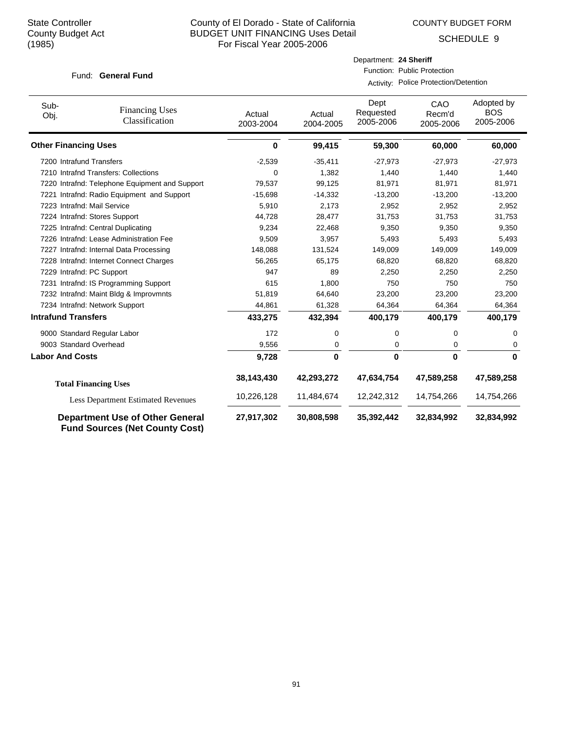COUNTY BUDGET FORM

SCHEDULE 9

#### Fund: General Fund

Department: **24 Sheriff** Function: Public Protection

Activity: Police Protection/Detention

| Sub-<br>Obj.                | <b>Financing Uses</b><br>Classification                                         | Actual<br>2003-2004 | Actual<br>2004-2005 | Dept<br>Requested<br>2005-2006 | CAO<br>Recm'd<br>2005-2006 | Adopted by<br><b>BOS</b><br>2005-2006 |
|-----------------------------|---------------------------------------------------------------------------------|---------------------|---------------------|--------------------------------|----------------------------|---------------------------------------|
| <b>Other Financing Uses</b> |                                                                                 | 0                   | 99,415              | 59,300                         | 60,000                     | 60,000                                |
|                             | 7200 Intrafund Transfers                                                        | $-2,539$            | $-35,411$           | $-27,973$                      | $-27,973$                  | $-27,973$                             |
|                             | 7210 Intrafnd Transfers: Collections                                            | 0                   | 1,382               | 1,440                          | 1,440                      | 1,440                                 |
|                             | 7220 Intrafnd: Telephone Equipment and Support                                  | 79,537              | 99,125              | 81,971                         | 81,971                     | 81,971                                |
|                             | 7221 Intrafnd: Radio Equipment and Support                                      | $-15,698$           | $-14,332$           | $-13,200$                      | $-13,200$                  | $-13,200$                             |
|                             | 7223 Intrafnd: Mail Service                                                     | 5,910               | 2,173               | 2,952                          | 2,952                      | 2,952                                 |
|                             | 7224 Intrafnd: Stores Support                                                   | 44,728              | 28,477              | 31,753                         | 31,753                     | 31,753                                |
|                             | 7225 Intrafnd: Central Duplicating                                              | 9,234               | 22,468              | 9,350                          | 9,350                      | 9,350                                 |
|                             | 7226 Intrafnd: Lease Administration Fee                                         | 9,509               | 3,957               | 5,493                          | 5,493                      | 5,493                                 |
|                             | 7227 Intrafnd: Internal Data Processing                                         | 148,088             | 131,524             | 149,009                        | 149,009                    | 149,009                               |
|                             | 7228 Intrafnd: Internet Connect Charges                                         | 56,265              | 65,175              | 68,820                         | 68,820                     | 68,820                                |
|                             | 7229 Intrafnd: PC Support                                                       | 947                 | 89                  | 2,250                          | 2,250                      | 2,250                                 |
|                             | 7231 Intrafnd: IS Programming Support                                           | 615                 | 1,800               | 750                            | 750                        | 750                                   |
|                             | 7232 Intrafnd: Maint Bldg & Improvmnts                                          | 51,819              | 64,640              | 23,200                         | 23,200                     | 23,200                                |
|                             | 7234 Intrafnd: Network Support                                                  | 44,861              | 61,328              | 64,364                         | 64,364                     | 64,364                                |
| <b>Intrafund Transfers</b>  |                                                                                 | 433,275             | 432,394             | 400,179                        | 400,179                    | 400,179                               |
|                             | 9000 Standard Regular Labor                                                     | 172                 | $\mathbf 0$         | $\mathbf 0$                    | 0                          | 0                                     |
|                             | 9003 Standard Overhead                                                          | 9,556               | 0                   | 0                              | 0                          | 0                                     |
| <b>Labor And Costs</b>      |                                                                                 | 9,728               | 0                   | $\mathbf{0}$                   | 0                          | $\bf{0}$                              |
|                             | <b>Total Financing Uses</b>                                                     | 38,143,430          | 42,293,272          | 47,634,754                     | 47,589,258                 | 47,589,258                            |
|                             | <b>Less Department Estimated Revenues</b>                                       | 10,226,128          | 11,484,674          | 12,242,312                     | 14,754,266                 | 14,754,266                            |
|                             | <b>Department Use of Other General</b><br><b>Fund Sources (Net County Cost)</b> | 27,917,302          | 30,808,598          | 35,392,442                     | 32,834,992                 | 32,834,992                            |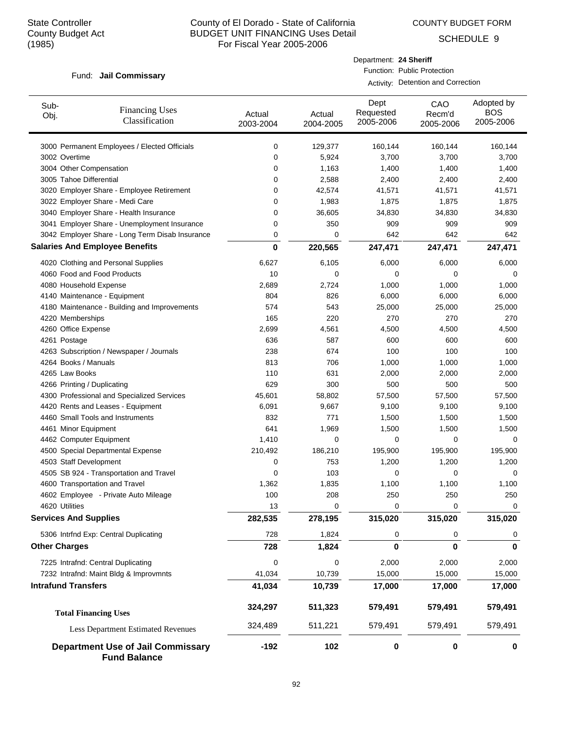COUNTY BUDGET FORM

SCHEDULE 9

#### Fund: Jail Commissary

# Department: **24 Sheriff** Function: Public Protection

Activity: Detention and Correction

| Sub-<br><b>Financing Uses</b><br>Obj.<br>Classification         | Actual<br>2003-2004 | Actual<br>2004-2005 | Dept<br>Requested<br>2005-2006 | CAO<br>Recm'd<br>2005-2006 | Adopted by<br><b>BOS</b><br>2005-2006 |
|-----------------------------------------------------------------|---------------------|---------------------|--------------------------------|----------------------------|---------------------------------------|
| 3000 Permanent Employees / Elected Officials                    | 0                   | 129,377             | 160,144                        | 160,144                    | 160,144                               |
| 3002 Overtime                                                   | 0                   | 5,924               | 3,700                          | 3,700                      | 3,700                                 |
| 3004 Other Compensation                                         | 0                   | 1,163               | 1,400                          | 1,400                      | 1,400                                 |
| 3005 Tahoe Differential                                         | 0                   | 2,588               | 2,400                          | 2,400                      | 2,400                                 |
| 3020 Employer Share - Employee Retirement                       | 0                   | 42,574              | 41,571                         | 41,571                     | 41,571                                |
| 3022 Employer Share - Medi Care                                 | 0                   | 1,983               | 1,875                          | 1,875                      | 1,875                                 |
| 3040 Employer Share - Health Insurance                          | 0                   | 36,605              | 34,830                         | 34,830                     | 34,830                                |
| 3041 Employer Share - Unemployment Insurance                    | 0                   | 350                 | 909                            | 909                        | 909                                   |
| 3042 Employer Share - Long Term Disab Insurance                 | 0                   | 0                   | 642                            | 642                        | 642                                   |
| <b>Salaries And Employee Benefits</b>                           | $\mathbf 0$         | 220,565             | 247,471                        | 247,471                    | 247,471                               |
| 4020 Clothing and Personal Supplies                             | 6,627               | 6,105               | 6,000                          | 6,000                      | 6,000                                 |
| 4060 Food and Food Products                                     | 10                  | 0                   | 0                              | 0                          | 0                                     |
| 4080 Household Expense                                          | 2,689               | 2,724               | 1,000                          | 1,000                      | 1,000                                 |
| 4140 Maintenance - Equipment                                    | 804                 | 826                 | 6,000                          | 6,000                      | 6,000                                 |
| 4180 Maintenance - Building and Improvements                    | 574                 | 543                 | 25,000                         | 25,000                     | 25,000                                |
| 4220 Memberships                                                | 165                 | 220                 | 270                            | 270                        | 270                                   |
| 4260 Office Expense                                             | 2,699               | 4,561               | 4,500                          | 4,500                      | 4,500                                 |
| 4261 Postage                                                    | 636                 | 587                 | 600                            | 600                        | 600                                   |
| 4263 Subscription / Newspaper / Journals                        | 238                 | 674                 | 100                            | 100                        | 100                                   |
| 4264 Books / Manuals                                            | 813                 | 706                 | 1,000                          | 1,000                      | 1,000                                 |
| 4265 Law Books                                                  | 110                 | 631                 | 2,000                          | 2,000                      | 2,000                                 |
| 4266 Printing / Duplicating                                     | 629                 | 300                 | 500                            | 500                        | 500                                   |
| 4300 Professional and Specialized Services                      | 45,601              | 58,802              | 57,500                         | 57,500                     | 57,500                                |
| 4420 Rents and Leases - Equipment                               | 6,091               | 9,667               | 9,100                          | 9,100                      | 9,100                                 |
| 4460 Small Tools and Instruments                                | 832                 | 771                 | 1,500                          | 1,500                      | 1,500                                 |
| 4461 Minor Equipment                                            | 641                 | 1,969               | 1,500                          | 1,500                      | 1,500                                 |
| 4462 Computer Equipment                                         | 1,410               | 0                   | 0                              | 0                          | 0                                     |
| 4500 Special Departmental Expense                               | 210,492             | 186,210             | 195,900                        | 195,900                    | 195,900                               |
| 4503 Staff Development                                          | 0                   | 753                 | 1,200                          | 1,200                      | 1,200                                 |
| 4505 SB 924 - Transportation and Travel                         | 0                   | 103                 | 0                              | 0                          | 0                                     |
| 4600 Transportation and Travel                                  | 1,362               | 1,835               | 1,100                          | 1,100                      | 1,100                                 |
| 4602 Employee - Private Auto Mileage                            | 100                 | 208                 | 250                            | 250                        | 250                                   |
| 4620 Utilities                                                  | 13                  | U                   |                                | U                          | U                                     |
| <b>Services And Supplies</b>                                    | 282,535             | 278,195             | 315,020                        | 315,020                    | 315,020                               |
| 5306 Intrfnd Exp: Central Duplicating                           | 728                 | 1,824               | 0                              | 0                          |                                       |
| <b>Other Charges</b>                                            | 728                 | 1,824               | 0                              | 0                          | 0                                     |
| 7225 Intrafnd: Central Duplicating                              | 0                   | 0                   | 2,000                          | 2,000                      | 2,000                                 |
| 7232 Intrafnd: Maint Bldg & Improvmnts                          | 41,034              | 10,739              | 15,000                         | 15,000                     | 15,000                                |
| <b>Intrafund Transfers</b>                                      | 41,034              | 10,739              | 17,000                         | 17,000                     | 17,000                                |
| <b>Total Financing Uses</b>                                     | 324,297             | 511,323             | 579,491                        | 579,491                    | 579,491                               |
| <b>Less Department Estimated Revenues</b>                       | 324,489             | 511,221             | 579,491                        | 579,491                    | 579,491                               |
| <b>Department Use of Jail Commissary</b><br><b>Fund Balance</b> | $-192$              | 102                 | 0                              | 0                          | 0                                     |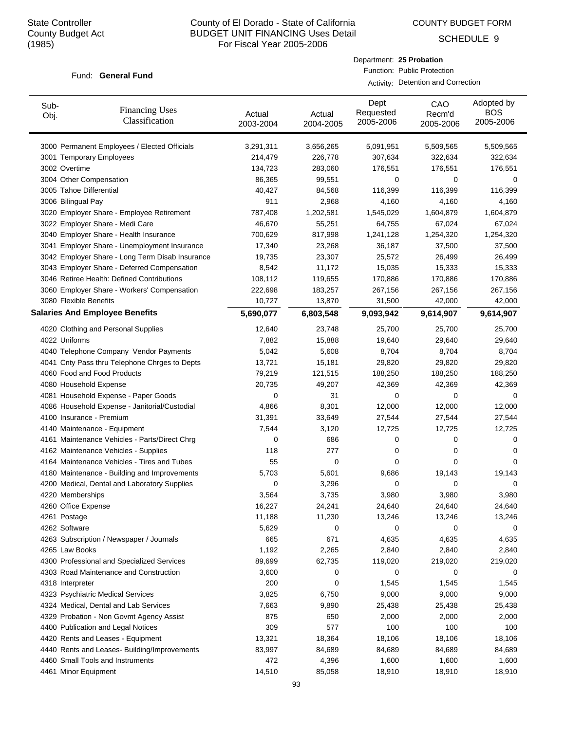Sub-Obj.

# County of El Dorado - State of California BUDGET UNIT FINANCING Uses Detail For Fiscal Year 2005-2006

Actual

Dept Requested

Department: **25 Probation** Function: Public Protection

Activity: Detention and Correction

CAO Recm'd

Actual

COUNTY BUDGET FORM

SCHEDULE 9

Adopted by BOS

#### Fund: General Fund

Financing Uses

| ODJ. | Classification                                  | Actual<br>2003-2004 | Actual<br>2004-2005 | noquootou<br>2005-2006 | neuliu<br>2005-2006 | ---<br>2005-2006 |  |
|------|-------------------------------------------------|---------------------|---------------------|------------------------|---------------------|------------------|--|
|      | 3000 Permanent Employees / Elected Officials    | 3,291,311           | 3,656,265           | 5,091,951              | 5,509,565           | 5,509,565        |  |
|      | 3001 Temporary Employees                        | 214,479             | 226,778             | 307,634                | 322,634             | 322,634          |  |
|      | 3002 Overtime                                   | 134,723             | 283,060             | 176,551                | 176,551             | 176,551          |  |
|      | 3004 Other Compensation                         | 86,365              | 99,551              | 0                      | 0                   | 0                |  |
|      | 3005 Tahoe Differential                         | 40,427              | 84,568              | 116,399                | 116,399             | 116,399          |  |
|      | 3006 Bilingual Pay                              | 911                 | 2,968               | 4,160                  | 4,160               | 4,160            |  |
|      | 3020 Employer Share - Employee Retirement       | 787,408             | 1,202,581           | 1,545,029              | 1,604,879           | 1,604,879        |  |
|      | 3022 Employer Share - Medi Care                 | 46,670              | 55,251              | 64,755                 | 67,024              | 67,024           |  |
|      | 3040 Employer Share - Health Insurance          | 700,629             | 817,998             | 1,241,128              | 1,254,320           | 1,254,320        |  |
|      | 3041 Employer Share - Unemployment Insurance    | 17,340              | 23,268              | 36,187                 | 37,500              | 37,500           |  |
|      | 3042 Employer Share - Long Term Disab Insurance | 19,735              | 23,307              | 25,572                 | 26,499              | 26,499           |  |
|      | 3043 Employer Share - Deferred Compensation     | 8,542               | 11,172              | 15,035                 | 15,333              | 15,333           |  |
|      | 3046 Retiree Health: Defined Contributions      | 108,112             | 119,655             | 170,886                | 170,886             | 170,886          |  |
|      | 3060 Employer Share - Workers' Compensation     | 222,698             | 183,257             | 267,156                | 267,156             | 267,156          |  |
|      | 3080 Flexible Benefits                          | 10,727              | 13,870              | 31,500                 | 42,000              | 42,000           |  |
|      | <b>Salaries And Employee Benefits</b>           | 5,690,077           | 6,803,548           | 9,093,942              | 9,614,907           | 9,614,907        |  |
|      | 4020 Clothing and Personal Supplies             | 12,640              | 23,748              | 25,700                 | 25,700              | 25,700           |  |
|      | 4022 Uniforms                                   | 7,882               | 15,888              | 19,640                 | 29,640              | 29,640           |  |
|      | 4040 Telephone Company Vendor Payments          | 5,042               | 5,608               | 8,704                  | 8,704               | 8,704            |  |
|      | 4041 Cnty Pass thru Telephone Chrges to Depts   | 13,721              | 15,181              | 29,820                 | 29,820              | 29,820           |  |
|      | 4060 Food and Food Products                     | 79,219              | 121,515             | 188,250                | 188,250             | 188,250          |  |
|      | 4080 Household Expense                          | 20,735              | 49,207              | 42,369                 | 42,369              | 42,369           |  |
|      | 4081 Household Expense - Paper Goods            | 0                   | 31                  | 0                      | 0                   | 0                |  |
|      | 4086 Household Expense - Janitorial/Custodial   | 4,866               | 8,301               | 12,000                 | 12,000              | 12,000           |  |
|      | 4100 Insurance - Premium                        | 31,391              | 33,649              | 27,544                 | 27,544              | 27,544           |  |
|      | 4140 Maintenance - Equipment                    | 7,544               | 3,120               | 12,725                 | 12,725              | 12,725           |  |
|      | 4161 Maintenance Vehicles - Parts/Direct Chrg   | 0                   | 686                 | 0                      | 0                   | 0                |  |
|      | 4162 Maintenance Vehicles - Supplies            | 118                 | 277                 | 0                      | 0                   | 0                |  |
|      | 4164 Maintenance Vehicles - Tires and Tubes     | 55                  | 0                   | 0                      | 0                   | 0                |  |
|      | 4180 Maintenance - Building and Improvements    | 5,703               | 5,601               | 9,686                  | 19,143              | 19,143           |  |
|      | 4200 Medical, Dental and Laboratory Supplies    | 0                   | 3,296               | 0                      | 0                   | 0                |  |
|      | 4220 Memberships                                | 3,564               | 3,735               | 3,980                  | 3,980               | 3,980            |  |
|      | 4260 Office Expense                             | 16,227              | 24,241              | 24,640                 | 24,640              | 24,640           |  |
|      | 4261 Postage                                    | 11,188              | 11,230              | 13,246                 | 13,246              | 13,246           |  |
|      | 4262 Software                                   | 5,629               |                     |                        |                     |                  |  |
|      | 4263 Subscription / Newspaper / Journals        | 665                 | 671                 | 4,635                  | 4,635               | 4,635            |  |
|      | 4265 Law Books                                  | 1,192               | 2,265               | 2,840                  | 2,840               | 2,840            |  |
|      | 4300 Professional and Specialized Services      | 89,699              | 62,735              | 119,020                | 219,020             | 219,020          |  |
|      | 4303 Road Maintenance and Construction          | 3,600               | 0                   | 0                      | 0                   | 0                |  |
|      | 4318 Interpreter                                | 200                 | 0                   | 1,545                  | 1,545               | 1,545            |  |
|      | 4323 Psychiatric Medical Services               | 3,825               | 6,750               | 9,000                  | 9,000               | 9,000            |  |
|      | 4324 Medical, Dental and Lab Services           | 7,663               | 9,890               | 25,438                 | 25,438              | 25,438           |  |
|      | 4329 Probation - Non Govmt Agency Assist        | 875                 | 650                 | 2,000                  | 2,000               | 2,000            |  |
|      | 4400 Publication and Legal Notices              | 309                 | 577                 | 100                    | 100                 | 100              |  |
|      | 4420 Rents and Leases - Equipment               | 13,321              | 18,364              | 18,106                 | 18,106              | 18,106           |  |
|      | 4440 Rents and Leases- Building/Improvements    | 83,997              | 84,689              | 84,689                 | 84,689              | 84,689           |  |
|      | 4460 Small Tools and Instruments                | 472                 | 4,396               | 1,600                  | 1,600               | 1,600            |  |
|      | 4461 Minor Equipment                            | 14,510              | 85,058              | 18,910                 | 18,910              | 18,910           |  |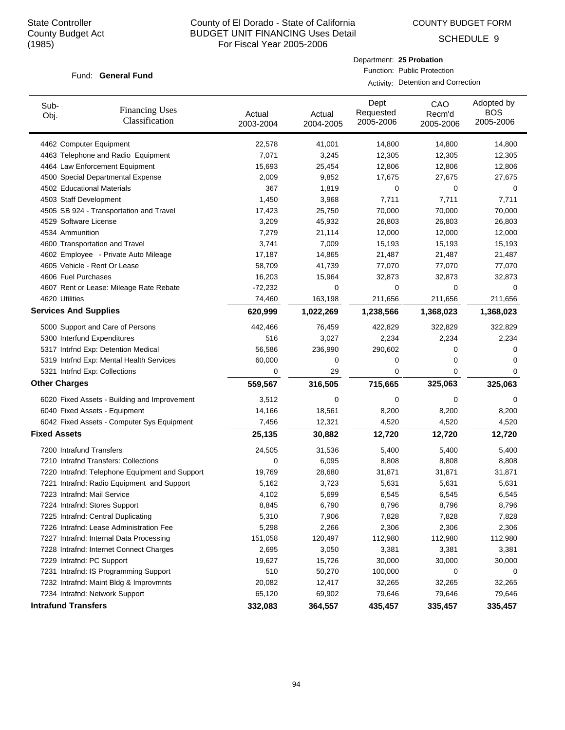COUNTY BUDGET FORM

Department: **25 Probation** Function: Public Protection

Activity: Detention and Correction

SCHEDULE 9

#### Fund: General Fund

| Sub-<br>Obj.                 | <b>Financing Uses</b><br>Classification        | Actual<br>2003-2004 | Actual<br>2004-2005 | Dept<br>Requested<br>2005-2006 | CAO<br>Recm'd<br>2005-2006 | Adopted by<br><b>BOS</b><br>2005-2006 |
|------------------------------|------------------------------------------------|---------------------|---------------------|--------------------------------|----------------------------|---------------------------------------|
| 4462 Computer Equipment      |                                                | 22,578              | 41,001              | 14,800                         | 14,800                     | 14,800                                |
|                              | 4463 Telephone and Radio Equipment             | 7,071               | 3,245               | 12,305                         | 12,305                     | 12,305                                |
|                              | 4464 Law Enforcement Equipment                 | 15,693              | 25,454              | 12,806                         | 12,806                     | 12,806                                |
|                              | 4500 Special Departmental Expense              | 2,009               | 9,852               | 17,675                         | 27,675                     | 27,675                                |
| 4502 Educational Materials   |                                                | 367                 | 1,819               | 0                              | 0                          | 0                                     |
| 4503 Staff Development       |                                                | 1,450               | 3,968               | 7,711                          | 7,711                      | 7,711                                 |
|                              | 4505 SB 924 - Transportation and Travel        | 17,423              | 25,750              | 70,000                         | 70,000                     | 70,000                                |
| 4529 Software License        |                                                | 3,209               | 45,932              | 26,803                         | 26,803                     | 26,803                                |
| 4534 Ammunition              |                                                | 7,279               | 21,114              | 12,000                         | 12,000                     | 12,000                                |
|                              | 4600 Transportation and Travel                 | 3,741               | 7,009               | 15,193                         | 15,193                     | 15,193                                |
|                              | 4602 Employee - Private Auto Mileage           | 17,187              | 14,865              | 21,487                         | 21,487                     | 21,487                                |
|                              | 4605 Vehicle - Rent Or Lease                   | 58,709              | 41,739              | 77,070                         | 77,070                     | 77,070                                |
| 4606 Fuel Purchases          |                                                | 16,203              | 15,964              | 32,873                         | 32,873                     | 32,873                                |
|                              | 4607 Rent or Lease: Mileage Rate Rebate        | $-72,232$           | 0                   | 0                              | 0                          | $\Omega$                              |
| 4620 Utilities               |                                                | 74,460              | 163,198             | 211,656                        | 211,656                    | 211,656                               |
| <b>Services And Supplies</b> |                                                | 620,999             | 1,022,269           | 1,238,566                      | 1,368,023                  | 1,368,023                             |
|                              | 5000 Support and Care of Persons               | 442,466             | 76,459              | 422,829                        | 322,829                    | 322,829                               |
|                              | 5300 Interfund Expenditures                    | 516                 | 3,027               | 2,234                          | 2,234                      | 2,234                                 |
|                              | 5317 Intrfnd Exp: Detention Medical            | 56,586              | 236,990             | 290,602                        | 0                          | 0                                     |
|                              | 5319 Intrfnd Exp: Mental Health Services       | 60,000              | 0                   | 0                              | 0                          | 0                                     |
|                              | 5321 Intrfnd Exp: Collections                  | 0                   | 29                  | 0                              | 0                          | 0                                     |
| <b>Other Charges</b>         |                                                | 559,567             | 316,505             | 715,665                        | 325,063                    | 325,063                               |
|                              | 6020 Fixed Assets - Building and Improvement   | 3,512               | 0                   | 0                              | 0                          | 0                                     |
|                              | 6040 Fixed Assets - Equipment                  | 14,166              | 18,561              | 8,200                          | 8,200                      | 8,200                                 |
|                              | 6042 Fixed Assets - Computer Sys Equipment     | 7,456               | 12,321              | 4,520                          | 4,520                      | 4,520                                 |
| <b>Fixed Assets</b>          |                                                | 25,135              | 30,882              | 12,720                         | 12,720                     | 12,720                                |
| 7200 Intrafund Transfers     |                                                | 24,505              | 31,536              | 5,400                          | 5,400                      | 5,400                                 |
|                              | 7210 Intrafnd Transfers: Collections           | 0                   | 6,095               | 8,808                          | 8,808                      | 8,808                                 |
|                              | 7220 Intrafnd: Telephone Equipment and Support | 19,769              | 28,680              | 31,871                         | 31,871                     | 31,871                                |
|                              | 7221 Intrafnd: Radio Equipment and Support     | 5,162               | 3,723               | 5,631                          | 5,631                      | 5,631                                 |
| 7223 Intrafnd: Mail Service  |                                                | 4,102               | 5,699               | 6,545                          | 6,545                      | 6,545                                 |
|                              | 7224 Intrafnd: Stores Support                  | 8,845               | 6,790               | 8,796                          | 8,796                      | 8,796                                 |
|                              | 7225 Intrafnd: Central Duplicating             | 5,310               | 7,906               | 7,828                          | 7,828                      | 7,828                                 |
|                              | 7226 Intrafnd: Lease Administration Fee        | 5,298               | 2,266               | 2,306                          | 2,306                      | 2,306                                 |
|                              | 7227 Intrafnd: Internal Data Processing        | 151,058             | 120,497             | 112,980                        | 112,980                    | 112,980                               |
|                              | 7228 Intrafnd: Internet Connect Charges        | 2,695               | 3,050               | 3,381                          | 3,381                      | 3,381                                 |
| 7229 Intrafnd: PC Support    |                                                | 19,627              | 15,726              | 30,000                         | 30,000                     | 30,000                                |
|                              | 7231 Intrafnd: IS Programming Support          | 510                 | 50,270              | 100,000                        | 0                          | 0                                     |
|                              | 7232 Intrafnd: Maint Bldg & Improvmnts         | 20,082              | 12,417              | 32,265                         | 32,265                     | 32,265                                |
|                              | 7234 Intrafnd: Network Support                 | 65,120              | 69,902              | 79,646                         | 79,646                     | 79,646                                |
| <b>Intrafund Transfers</b>   |                                                | 332,083             | 364,557             | 435,457                        | 335,457                    | 335,457                               |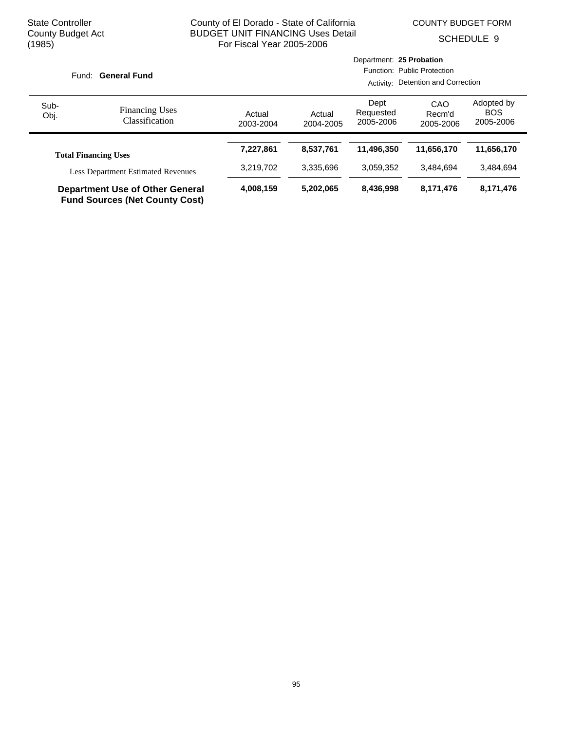COUNTY BUDGET FORM

SCHEDULE 9

|                                                                                 |                                           |                     |                                    | Department: 25 Probation       |                            |                                       |  |
|---------------------------------------------------------------------------------|-------------------------------------------|---------------------|------------------------------------|--------------------------------|----------------------------|---------------------------------------|--|
|                                                                                 | Fund: General Fund                        |                     | Function: Public Protection        |                                |                            |                                       |  |
|                                                                                 |                                           |                     | Activity: Detention and Correction |                                |                            |                                       |  |
| Sub-<br>Obj.                                                                    | <b>Financing Uses</b><br>Classification   | Actual<br>2003-2004 | Actual<br>2004-2005                | Dept<br>Requested<br>2005-2006 | CAO<br>Recm'd<br>2005-2006 | Adopted by<br><b>BOS</b><br>2005-2006 |  |
|                                                                                 | <b>Total Financing Uses</b>               | 7,227,861           | 8.537.761                          | 11,496,350                     | 11,656,170                 | 11,656,170                            |  |
|                                                                                 | <b>Less Department Estimated Revenues</b> | 3,219,702           | 3.335.696                          | 3.059.352                      | 3.484.694                  | 3.484.694                             |  |
| <b>Department Use of Other General</b><br><b>Fund Sources (Net County Cost)</b> |                                           | 4,008,159           | 5,202,065                          | 8,436,998                      | 8,171,476                  | 8,171,476                             |  |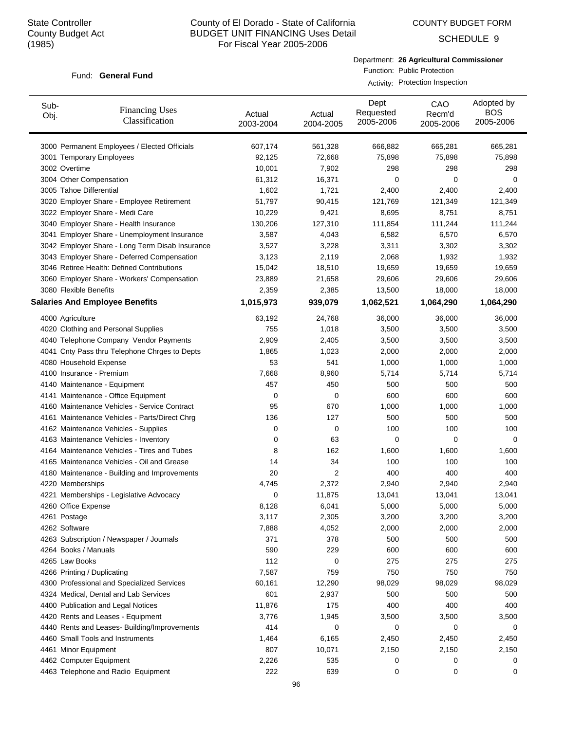COUNTY BUDGET FORM

SCHEDULE 9

#### Fund: General Fund

Department: **26 Agricultural Commissioner** Function: Public Protection

| Sub-<br>Obj. | <b>Financing Uses</b><br>Classification         | Actual<br>2003-2004 | Actual<br>2004-2005 | Dept<br>Requested<br>2005-2006 | CAO<br>Recm'd<br>2005-2006 | Adopted by<br><b>BOS</b><br>2005-2006 |
|--------------|-------------------------------------------------|---------------------|---------------------|--------------------------------|----------------------------|---------------------------------------|
|              | 3000 Permanent Employees / Elected Officials    | 607,174             | 561,328             | 666,882                        | 665,281                    | 665,281                               |
|              | 3001 Temporary Employees                        | 92,125              | 72,668              | 75,898                         | 75,898                     | 75,898                                |
|              | 3002 Overtime                                   | 10,001              | 7,902               | 298                            | 298                        | 298                                   |
|              | 3004 Other Compensation                         | 61,312              | 16,371              | 0                              | 0                          | 0                                     |
|              | 3005 Tahoe Differential                         | 1,602               | 1,721               | 2,400                          | 2,400                      | 2,400                                 |
|              | 3020 Employer Share - Employee Retirement       | 51,797              | 90,415              | 121,769                        | 121,349                    | 121,349                               |
|              | 3022 Employer Share - Medi Care                 | 10,229              | 9,421               | 8,695                          | 8,751                      | 8,751                                 |
|              | 3040 Employer Share - Health Insurance          | 130,206             | 127,310             | 111,854                        | 111,244                    | 111,244                               |
|              | 3041 Employer Share - Unemployment Insurance    | 3,587               | 4,043               | 6,582                          | 6,570                      | 6,570                                 |
|              | 3042 Employer Share - Long Term Disab Insurance | 3,527               | 3,228               | 3,311                          | 3,302                      | 3,302                                 |
|              | 3043 Employer Share - Deferred Compensation     | 3,123               | 2,119               | 2,068                          | 1,932                      | 1,932                                 |
|              | 3046 Retiree Health: Defined Contributions      | 15,042              | 18,510              | 19,659                         | 19,659                     | 19,659                                |
|              | 3060 Employer Share - Workers' Compensation     | 23,889              | 21,658              | 29,606                         | 29,606                     | 29,606                                |
|              | 3080 Flexible Benefits                          | 2,359               | 2,385               | 13,500                         | 18,000                     | 18,000                                |
|              | <b>Salaries And Employee Benefits</b>           | 1,015,973           | 939,079             | 1,062,521                      | 1,064,290                  | 1,064,290                             |
|              | 4000 Agriculture                                | 63,192              | 24,768              | 36,000                         | 36,000                     | 36,000                                |
|              | 4020 Clothing and Personal Supplies             | 755                 | 1,018               | 3,500                          | 3,500                      | 3,500                                 |
|              | 4040 Telephone Company Vendor Payments          | 2,909               | 2,405               | 3,500                          | 3,500                      | 3,500                                 |
|              | 4041 Cnty Pass thru Telephone Chrges to Depts   | 1,865               | 1,023               | 2,000                          | 2,000                      | 2,000                                 |
|              | 4080 Household Expense                          | 53                  | 541                 | 1,000                          | 1,000                      | 1,000                                 |
|              | 4100 Insurance - Premium                        | 7,668               | 8,960               | 5,714                          | 5,714                      | 5,714                                 |
|              | 4140 Maintenance - Equipment                    | 457                 | 450                 | 500                            | 500                        | 500                                   |
|              | 4141 Maintenance - Office Equipment             | 0                   | 0                   | 600                            | 600                        | 600                                   |
|              | 4160 Maintenance Vehicles - Service Contract    | 95                  | 670                 | 1,000                          | 1,000                      | 1,000                                 |
|              | 4161 Maintenance Vehicles - Parts/Direct Chrg   | 136                 | 127                 | 500                            | 500                        | 500                                   |
|              | 4162 Maintenance Vehicles - Supplies            | 0                   | 0                   | 100                            | 100                        | 100                                   |
|              | 4163 Maintenance Vehicles - Inventory           | 0                   | 63                  | 0                              | 0                          | 0                                     |
|              | 4164 Maintenance Vehicles - Tires and Tubes     | 8                   | 162                 | 1,600                          | 1,600                      | 1,600                                 |
|              | 4165 Maintenance Vehicles - Oil and Grease      | 14                  | 34                  | 100                            | 100                        | 100                                   |
|              | 4180 Maintenance - Building and Improvements    | 20                  | $\overline{2}$      | 400                            | 400                        | 400                                   |
|              | 4220 Memberships                                | 4,745               | 2,372               | 2,940                          | 2,940                      | 2,940                                 |
|              | 4221 Memberships - Legislative Advocacy         | 0                   | 11,875              | 13,041                         | 13,041                     | 13,041                                |
|              | 4260 Office Expense                             | 8,128               | 6,041               | 5,000                          | 5,000                      | 5,000                                 |
|              | 4261 Postage                                    | 3,117               | 2,305               | 3,200                          | 3,200                      | 3,200                                 |
|              | 4262 Software                                   | 7,888               | 4,052               | 2,000                          | 2,000                      | 2,000                                 |
|              | 4263 Subscription / Newspaper / Journals        | 371                 | 378                 | 500                            | 500                        | 500                                   |
|              | 4264 Books / Manuals                            | 590                 | 229                 | 600                            | 600                        | 600                                   |
|              | 4265 Law Books                                  | 112                 | 0                   | 275                            | 275                        | 275                                   |
|              | 4266 Printing / Duplicating                     | 7,587               | 759                 | 750                            | 750                        | 750                                   |
|              | 4300 Professional and Specialized Services      | 60,161              | 12,290              | 98,029                         | 98,029                     | 98,029                                |
|              | 4324 Medical, Dental and Lab Services           | 601                 | 2,937               | 500                            | 500                        | 500                                   |
|              | 4400 Publication and Legal Notices              | 11,876              | 175                 | 400                            | 400                        | 400                                   |
|              | 4420 Rents and Leases - Equipment               | 3,776               | 1,945               | 3,500                          | 3,500                      | 3,500                                 |
|              | 4440 Rents and Leases- Building/Improvements    | 414                 | 0                   | 0                              | 0                          | 0                                     |
|              | 4460 Small Tools and Instruments                | 1,464               | 6,165               | 2,450                          | 2,450                      | 2,450                                 |
|              | 4461 Minor Equipment                            | 807                 | 10,071              | 2,150                          | 2,150                      | 2,150                                 |
|              | 4462 Computer Equipment                         | 2,226               | 535                 | 0                              | 0                          | 0                                     |
|              | 4463 Telephone and Radio Equipment              | 222                 | 639                 | 0                              | 0                          | 0                                     |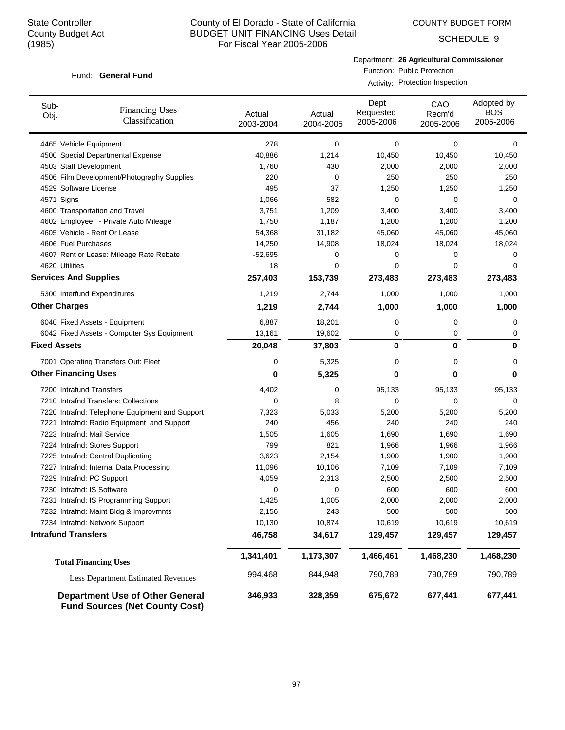COUNTY BUDGET FORM

SCHEDULE 9

#### Fund: General Fund

Department: **26 Agricultural Commissioner** Function: Public Protection

| Sub-<br>Obj.                 | <b>Financing Uses</b><br>Classification                                         | Actual<br>2003-2004 | Actual<br>2004-2005 | Dept<br>Requested<br>2005-2006 | CAO<br>Recm'd<br>2005-2006 | Adopted by<br><b>BOS</b><br>2005-2006 |
|------------------------------|---------------------------------------------------------------------------------|---------------------|---------------------|--------------------------------|----------------------------|---------------------------------------|
| 4465 Vehicle Equipment       |                                                                                 | 278                 | 0                   | 0                              | 0                          | 0                                     |
|                              | 4500 Special Departmental Expense                                               | 40,886              | 1,214               | 10,450                         | 10,450                     | 10,450                                |
| 4503 Staff Development       |                                                                                 | 1,760               | 430                 | 2,000                          | 2,000                      | 2,000                                 |
|                              | 4506 Film Development/Photography Supplies                                      | 220                 | 0                   | 250                            | 250                        | 250                                   |
| 4529 Software License        |                                                                                 | 495                 | 37                  | 1,250                          | 1,250                      | 1,250                                 |
| 4571 Signs                   |                                                                                 | 1,066               | 582                 | 0                              | $\Omega$                   | 0                                     |
|                              | 4600 Transportation and Travel                                                  | 3,751               | 1,209               | 3,400                          | 3,400                      | 3,400                                 |
|                              | 4602 Employee - Private Auto Mileage                                            | 1,750               | 1,187               | 1,200                          | 1,200                      | 1,200                                 |
|                              | 4605 Vehicle - Rent Or Lease                                                    | 54,368              | 31,182              | 45,060                         | 45,060                     | 45,060                                |
| 4606 Fuel Purchases          |                                                                                 | 14,250              | 14,908              | 18,024                         | 18,024                     | 18,024                                |
|                              | 4607 Rent or Lease: Mileage Rate Rebate                                         | $-52,695$           | 0                   | 0                              | 0                          | 0                                     |
| 4620 Utilities               |                                                                                 | 18                  | 0                   | 0                              | 0                          | 0                                     |
| <b>Services And Supplies</b> |                                                                                 | 257,403             | 153,739             | 273,483                        | 273,483                    | 273,483                               |
|                              | 5300 Interfund Expenditures                                                     | 1,219               | 2,744               | 1,000                          | 1,000                      | 1,000                                 |
| <b>Other Charges</b>         |                                                                                 | 1,219               | 2,744               | 1,000                          | 1,000                      | 1,000                                 |
|                              | 6040 Fixed Assets - Equipment                                                   | 6,887               | 18,201              | 0                              | 0                          | 0                                     |
|                              | 6042 Fixed Assets - Computer Sys Equipment                                      | 13,161              | 19,602              | 0                              | 0                          | 0                                     |
| <b>Fixed Assets</b>          |                                                                                 | 20,048              | 37,803              | 0                              | 0                          | 0                                     |
|                              | 7001 Operating Transfers Out: Fleet                                             | 0                   | 5,325               | 0                              | $\mathbf 0$                | 0                                     |
| <b>Other Financing Uses</b>  |                                                                                 | 0                   | 5,325               | 0                              | 0                          | 0                                     |
| 7200 Intrafund Transfers     |                                                                                 | 4,402               | 0                   | 95,133                         | 95,133                     | 95,133                                |
|                              | 7210 Intrafnd Transfers: Collections                                            | 0                   | 8                   | 0                              | 0                          | 0                                     |
|                              | 7220 Intrafnd: Telephone Equipment and Support                                  | 7,323               | 5,033               | 5,200                          | 5,200                      | 5,200                                 |
|                              | 7221 Intrafnd: Radio Equipment and Support                                      | 240                 | 456                 | 240                            | 240                        | 240                                   |
|                              | 7223 Intrafnd: Mail Service                                                     | 1,505               | 1,605               | 1,690                          | 1,690                      | 1,690                                 |
|                              | 7224 Intrafnd: Stores Support                                                   | 799                 | 821                 | 1,966                          | 1,966                      | 1,966                                 |
|                              | 7225 Intrafnd: Central Duplicating                                              | 3,623               | 2,154               | 1,900                          | 1,900                      | 1,900                                 |
|                              | 7227 Intrafnd: Internal Data Processing                                         | 11,096              | 10,106              | 7,109                          | 7,109                      | 7,109                                 |
| 7229 Intrafnd: PC Support    |                                                                                 | 4,059               | 2,313               | 2,500                          | 2,500                      | 2,500                                 |
| 7230 Intrafnd: IS Software   |                                                                                 | 0                   | 0                   | 600                            | 600                        | 600                                   |
|                              | 7231 Intrafnd: IS Programming Support                                           | 1,425               | 1,005               | 2,000                          | 2,000                      | 2,000                                 |
|                              | 7232 Intrafnd: Maint Bldg & Improvmnts                                          | 2,156               | 243                 | 500                            | 500                        | 500                                   |
|                              | 7234 Intrafnd: Network Support                                                  | 10,130              | 10,874              | 10,619                         | 10,619                     | 10,619                                |
| <b>Intrafund Transfers</b>   |                                                                                 | 46,758              | 34,617              | 129,457                        | 129,457                    | 129,457                               |
|                              | <b>Total Financing Uses</b>                                                     | 1,341,401           | 1,173,307           | 1,466,461                      | 1,468,230                  | 1,468,230                             |
|                              | <b>Less Department Estimated Revenues</b>                                       | 994,468             | 844,948             | 790,789                        | 790,789                    | 790,789                               |
|                              | <b>Department Use of Other General</b><br><b>Fund Sources (Net County Cost)</b> | 346,933             | 328,359             | 675,672                        | 677,441                    | 677,441                               |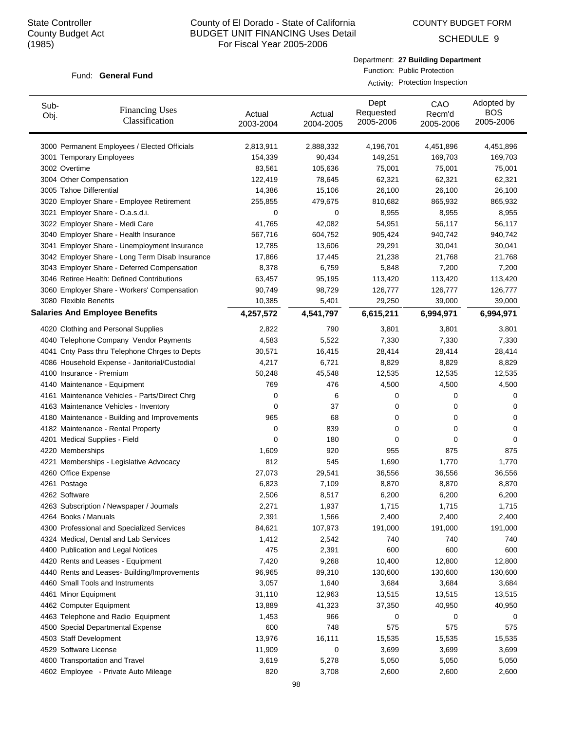COUNTY BUDGET FORM

SCHEDULE 9

#### Fund: General Fund

| Department: 27 Building Department |
|------------------------------------|
| Function: Public Protection        |

| Sub-<br>Obj. | <b>Financing Uses</b><br>Classification         | Actual<br>2003-2004 | Actual<br>2004-2005 | Dept<br>Requested<br>2005-2006 | CAO<br>Recm'd<br>2005-2006 | Adopted by<br><b>BOS</b><br>2005-2006 |
|--------------|-------------------------------------------------|---------------------|---------------------|--------------------------------|----------------------------|---------------------------------------|
|              | 3000 Permanent Employees / Elected Officials    | 2,813,911           | 2,888,332           | 4,196,701                      | 4,451,896                  | 4,451,896                             |
|              | 3001 Temporary Employees                        | 154,339             | 90,434              | 149,251                        | 169,703                    | 169,703                               |
|              | 3002 Overtime                                   | 83,561              | 105,636             | 75,001                         | 75,001                     | 75,001                                |
|              | 3004 Other Compensation                         | 122,419             | 78,645              | 62,321                         | 62,321                     | 62,321                                |
|              | 3005 Tahoe Differential                         | 14,386              | 15,106              | 26,100                         | 26,100                     | 26,100                                |
|              | 3020 Employer Share - Employee Retirement       | 255,855             | 479,675             | 810,682                        | 865,932                    | 865,932                               |
|              | 3021 Employer Share - O.a.s.d.i.                | 0                   | 0                   | 8,955                          | 8,955                      | 8,955                                 |
|              | 3022 Employer Share - Medi Care                 | 41,765              | 42,082              | 54,951                         | 56,117                     | 56,117                                |
|              | 3040 Employer Share - Health Insurance          | 567,716             | 604,752             | 905,424                        | 940,742                    | 940,742                               |
|              | 3041 Employer Share - Unemployment Insurance    | 12,785              | 13,606              | 29,291                         | 30,041                     | 30,041                                |
|              | 3042 Employer Share - Long Term Disab Insurance | 17,866              | 17,445              | 21,238                         | 21,768                     | 21,768                                |
|              | 3043 Employer Share - Deferred Compensation     | 8,378               | 6,759               | 5,848                          | 7,200                      | 7,200                                 |
|              | 3046 Retiree Health: Defined Contributions      | 63,457              | 95,195              | 113,420                        | 113,420                    | 113,420                               |
|              | 3060 Employer Share - Workers' Compensation     | 90,749              | 98,729              | 126,777                        | 126,777                    | 126,777                               |
|              | 3080 Flexible Benefits                          | 10,385              | 5,401               | 29,250                         | 39,000                     | 39,000                                |
|              | <b>Salaries And Employee Benefits</b>           | 4,257,572           | 4,541,797           | 6,615,211                      | 6,994,971                  | 6,994,971                             |
|              | 4020 Clothing and Personal Supplies             | 2,822               | 790                 | 3,801                          | 3,801                      | 3,801                                 |
|              | 4040 Telephone Company Vendor Payments          | 4,583               | 5,522               | 7,330                          | 7,330                      | 7,330                                 |
|              | 4041 Cnty Pass thru Telephone Chrges to Depts   | 30,571              | 16,415              | 28,414                         | 28,414                     | 28,414                                |
|              | 4086 Household Expense - Janitorial/Custodial   | 4,217               | 6,721               | 8,829                          | 8,829                      | 8,829                                 |
|              | 4100 Insurance - Premium                        | 50,248              | 45,548              | 12,535                         | 12,535                     | 12,535                                |
|              | 4140 Maintenance - Equipment                    | 769                 | 476                 | 4,500                          | 4,500                      | 4,500                                 |
|              | 4161 Maintenance Vehicles - Parts/Direct Chrg   | 0                   | 6                   | 0                              | 0                          | 0                                     |
|              | 4163 Maintenance Vehicles - Inventory           | 0                   | 37                  | 0                              | 0                          | 0                                     |
|              | 4180 Maintenance - Building and Improvements    | 965                 | 68                  | 0                              | 0                          | 0                                     |
|              | 4182 Maintenance - Rental Property              | 0                   | 839                 | 0                              | 0                          | 0                                     |
|              | 4201 Medical Supplies - Field                   | 0                   | 180                 | 0                              | 0                          | 0                                     |
|              | 4220 Memberships                                | 1,609               | 920                 | 955                            | 875                        | 875                                   |
|              | 4221 Memberships - Legislative Advocacy         | 812                 | 545                 | 1,690                          | 1,770                      | 1,770                                 |
|              | 4260 Office Expense                             | 27,073              | 29,541              | 36,556                         | 36,556                     | 36,556                                |
|              | 4261 Postage                                    | 6,823               | 7,109               | 8,870                          | 8,870                      | 8,870                                 |
|              | 4262 Software                                   | 2,506               | 8,517               | 6,200                          | 6,200                      | 6,200                                 |
|              | 4263 Subscription / Newspaper / Journals        | 2,271               | 1,937               | 1,715                          | 1,715                      | 1,715                                 |
|              | 4264 Books / Manuals                            | 2,391               | 1,566               | 2,400                          | 2,400                      | 2,400                                 |
|              | 4300 Professional and Specialized Services      | 84,621              | 107,973             | 191,000                        | 191,000                    | 191,000                               |
|              | 4324 Medical, Dental and Lab Services           | 1,412               | 2,542               | 740                            | 740                        | 740                                   |
|              | 4400 Publication and Legal Notices              | 475                 | 2,391               | 600                            | 600                        | 600                                   |
|              | 4420 Rents and Leases - Equipment               | 7,420               | 9,268               | 10,400                         | 12,800                     | 12,800                                |
|              | 4440 Rents and Leases- Building/Improvements    | 96,965              | 89,310              | 130,600                        | 130,600                    | 130,600                               |
|              | 4460 Small Tools and Instruments                | 3,057               | 1,640               | 3,684                          | 3,684                      | 3,684                                 |
|              | 4461 Minor Equipment                            | 31,110              | 12,963              | 13,515                         | 13,515                     | 13,515                                |
|              | 4462 Computer Equipment                         | 13,889              | 41,323              | 37,350                         | 40,950                     | 40,950                                |
|              | 4463 Telephone and Radio Equipment              | 1,453               | 966                 | 0                              | 0                          | 0                                     |
|              | 4500 Special Departmental Expense               | 600                 | 748                 | 575                            | 575                        | 575                                   |
|              | 4503 Staff Development                          | 13,976              | 16,111              | 15,535                         | 15,535                     | 15,535                                |
|              | 4529 Software License                           | 11,909              | 0                   | 3,699                          | 3,699                      | 3,699                                 |
|              | 4600 Transportation and Travel                  | 3,619               | 5,278               | 5,050                          | 5,050                      | 5,050                                 |
|              | 4602 Employee - Private Auto Mileage            | 820                 | 3,708               | 2,600                          | 2,600                      | 2,600                                 |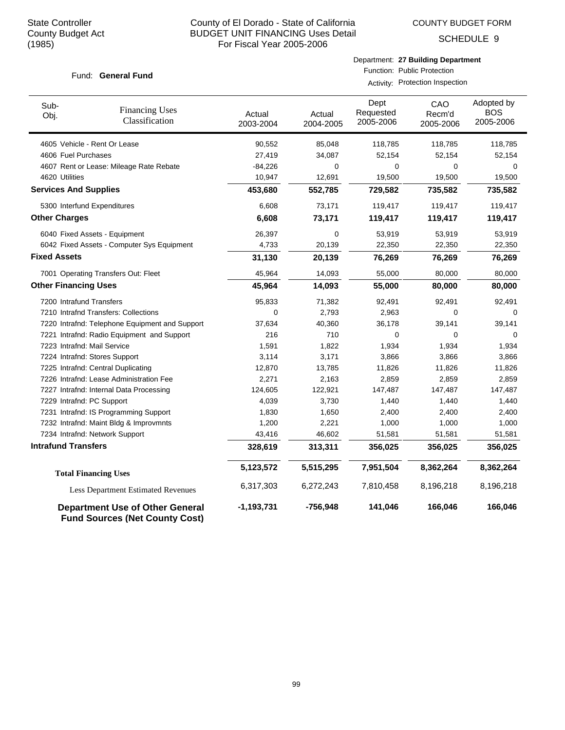COUNTY BUDGET FORM

SCHEDULE 9

#### Fund: General Fund

| Sub-<br>Obj.                 | <b>Financing Uses</b><br>Classification                                         | Actual<br>2003-2004    | Actual<br>2004-2005    | Dept<br>Requested<br>2005-2006 | CAO<br>Recm'd<br>2005-2006 | Adopted by<br><b>BOS</b><br>2005-2006 |
|------------------------------|---------------------------------------------------------------------------------|------------------------|------------------------|--------------------------------|----------------------------|---------------------------------------|
|                              | 4605 Vehicle - Rent Or Lease                                                    | 90,552                 | 85,048                 | 118,785                        | 118,785                    | 118,785                               |
| 4606 Fuel Purchases          |                                                                                 | 27,419                 | 34,087                 | 52,154                         | 52,154                     | 52,154                                |
|                              | 4607 Rent or Lease: Mileage Rate Rebate                                         | $-84,226$              | 0                      | 0                              | 0                          | 0                                     |
| 4620 Utilities               |                                                                                 | 10,947                 | 12,691                 | 19,500                         | 19,500                     | 19,500                                |
| <b>Services And Supplies</b> |                                                                                 | 453,680                | 552,785                | 729,582                        | 735,582                    | 735,582                               |
|                              | 5300 Interfund Expenditures                                                     | 6,608                  | 73,171                 | 119,417                        | 119,417                    | 119,417                               |
| <b>Other Charges</b>         |                                                                                 | 6,608                  | 73,171                 | 119,417                        | 119,417                    | 119,417                               |
|                              | 6040 Fixed Assets - Equipment                                                   | 26,397                 | $\mathbf 0$            | 53,919                         | 53,919                     | 53,919                                |
|                              | 6042 Fixed Assets - Computer Sys Equipment                                      | 4,733                  | 20,139                 | 22,350                         | 22,350                     | 22,350                                |
| <b>Fixed Assets</b>          |                                                                                 | 31,130                 | 20,139                 | 76,269                         | 76,269                     | 76,269                                |
|                              | 7001 Operating Transfers Out: Fleet                                             | 45,964                 | 14,093                 | 55,000                         | 80,000                     | 80,000                                |
| <b>Other Financing Uses</b>  |                                                                                 | 45,964                 | 14,093                 | 55,000                         | 80,000                     | 80,000                                |
| 7200 Intrafund Transfers     |                                                                                 | 95,833                 | 71,382                 | 92,491                         | 92,491                     | 92,491                                |
|                              | 7210 Intrafnd Transfers: Collections                                            | 0                      | 2,793                  | 2,963                          | 0                          | $\Omega$                              |
|                              | 7220 Intrafnd: Telephone Equipment and Support                                  | 37,634                 | 40,360                 | 36,178                         | 39,141                     | 39,141                                |
|                              | 7221 Intrafnd: Radio Equipment and Support                                      | 216                    | 710                    | 0                              | 0                          | 0                                     |
|                              | 7223 Intrafnd: Mail Service                                                     | 1,591                  | 1,822                  | 1,934                          | 1,934                      | 1,934                                 |
|                              | 7224 Intrafnd: Stores Support                                                   | 3,114                  | 3,171                  | 3,866                          | 3,866                      | 3,866                                 |
|                              | 7225 Intrafnd: Central Duplicating                                              | 12,870                 | 13,785                 | 11,826                         | 11,826                     | 11,826                                |
|                              | 7226 Intrafnd: Lease Administration Fee                                         | 2,271                  | 2,163                  | 2,859                          | 2,859                      | 2,859                                 |
|                              | 7227 Intrafnd: Internal Data Processing                                         | 124,605                | 122,921                | 147,487                        | 147,487                    | 147,487                               |
|                              | 7229 Intrafnd: PC Support                                                       | 4,039                  | 3,730                  | 1,440                          | 1,440                      | 1,440                                 |
|                              | 7231 Intrafnd: IS Programming Support                                           | 1,830                  | 1,650                  | 2,400                          | 2,400                      | 2,400                                 |
|                              | 7232 Intrafnd: Maint Bldg & Improvmnts                                          | 1,200                  | 2,221                  | 1,000                          | 1,000                      | 1,000                                 |
|                              | 7234 Intrafnd: Network Support                                                  | 43,416                 | 46,602                 | 51,581                         | 51,581                     | 51,581                                |
| <b>Intrafund Transfers</b>   |                                                                                 | 328,619                | 313,311                | 356,025                        | 356,025                    | 356,025                               |
|                              | <b>Total Financing Uses</b>                                                     | 5,123,572<br>6,317,303 | 5,515,295<br>6,272,243 | 7,951,504<br>7,810,458         | 8,362,264<br>8,196,218     | 8,362,264<br>8,196,218                |
|                              | Less Department Estimated Revenues                                              |                        |                        |                                |                            |                                       |
|                              | <b>Department Use of Other General</b><br><b>Fund Sources (Net County Cost)</b> | $-1,193,731$           | $-756,948$             | 141,046                        | 166,046                    | 166,046                               |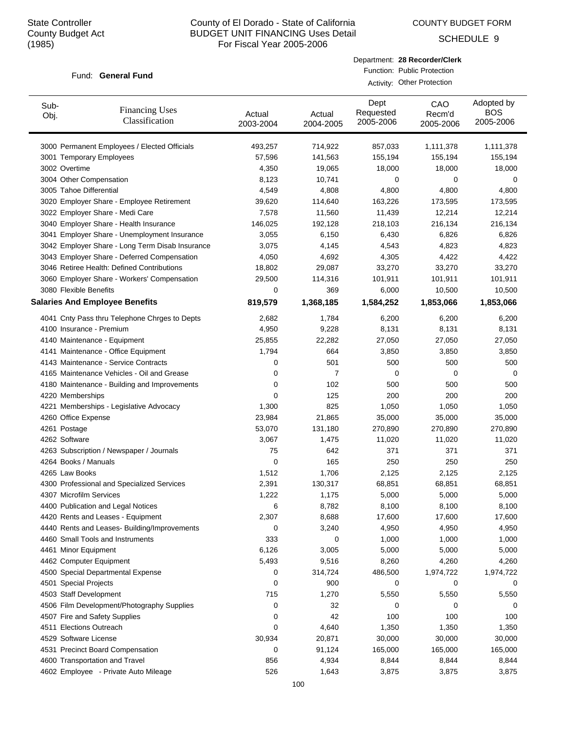COUNTY BUDGET FORM

SCHEDULE 9

#### Fund: General Fund

Department: **28 Recorder/Clerk** Function: Public Protection

Activity: Other Protection

| Sub-<br>Obj. | <b>Financing Uses</b><br>Classification         | Actual<br>2003-2004 | Actual<br>2004-2005 | Dept<br>Requested<br>2005-2006 | CAO<br>Recm'd<br>2005-2006 | Adopted by<br><b>BOS</b><br>2005-2006 |
|--------------|-------------------------------------------------|---------------------|---------------------|--------------------------------|----------------------------|---------------------------------------|
|              | 3000 Permanent Employees / Elected Officials    | 493,257             | 714,922             | 857,033                        | 1,111,378                  | 1,111,378                             |
|              | 3001 Temporary Employees                        | 57,596              | 141,563             | 155,194                        | 155,194                    | 155,194                               |
|              | 3002 Overtime                                   | 4,350               | 19,065              | 18,000                         | 18,000                     | 18,000                                |
|              | 3004 Other Compensation                         | 8,123               | 10,741              | 0                              | 0                          | 0                                     |
|              | 3005 Tahoe Differential                         | 4,549               | 4,808               | 4,800                          | 4,800                      | 4,800                                 |
|              | 3020 Employer Share - Employee Retirement       | 39,620              | 114,640             | 163,226                        | 173,595                    | 173,595                               |
|              | 3022 Employer Share - Medi Care                 | 7,578               | 11,560              | 11,439                         | 12,214                     | 12,214                                |
|              | 3040 Employer Share - Health Insurance          | 146,025             | 192,128             | 218,103                        | 216,134                    | 216,134                               |
|              | 3041 Employer Share - Unemployment Insurance    | 3,055               | 6,150               | 6,430                          | 6,826                      | 6,826                                 |
|              | 3042 Employer Share - Long Term Disab Insurance | 3,075               | 4,145               | 4,543                          | 4,823                      | 4,823                                 |
|              | 3043 Employer Share - Deferred Compensation     | 4,050               | 4,692               | 4,305                          | 4,422                      | 4,422                                 |
|              | 3046 Retiree Health: Defined Contributions      | 18,802              | 29,087              | 33,270                         | 33,270                     | 33,270                                |
|              | 3060 Employer Share - Workers' Compensation     | 29,500              | 114,316             | 101,911                        | 101,911                    | 101,911                               |
|              | 3080 Flexible Benefits                          | 0                   | 369                 | 6,000                          | 10,500                     | 10,500                                |
|              | <b>Salaries And Employee Benefits</b>           | 819,579             | 1,368,185           | 1,584,252                      | 1,853,066                  | 1,853,066                             |
|              | 4041 Cnty Pass thru Telephone Chrges to Depts   | 2,682               | 1,784               | 6,200                          | 6,200                      | 6,200                                 |
|              | 4100 Insurance - Premium                        | 4,950               | 9,228               | 8,131                          | 8,131                      | 8,131                                 |
|              | 4140 Maintenance - Equipment                    | 25,855              | 22,282              | 27,050                         | 27,050                     | 27,050                                |
|              | 4141 Maintenance - Office Equipment             | 1,794               | 664                 | 3,850                          | 3,850                      | 3,850                                 |
|              | 4143 Maintenance - Service Contracts            | 0                   | 501                 | 500                            | 500                        | 500                                   |
|              | 4165 Maintenance Vehicles - Oil and Grease      | 0                   | 7                   | 0                              | 0                          | 0                                     |
|              | 4180 Maintenance - Building and Improvements    | 0                   | 102                 | 500                            | 500                        | 500                                   |
|              | 4220 Memberships                                | 0                   | 125                 | 200                            | 200                        | 200                                   |
|              | 4221 Memberships - Legislative Advocacy         | 1,300               | 825                 | 1,050                          | 1,050                      | 1,050                                 |
|              | 4260 Office Expense                             | 23,984              | 21,865              | 35,000                         | 35,000                     | 35,000                                |
|              | 4261 Postage                                    | 53,070              | 131,180             | 270,890                        | 270,890                    | 270,890                               |
|              | 4262 Software                                   | 3,067               | 1,475               | 11,020                         | 11,020                     | 11,020                                |
|              | 4263 Subscription / Newspaper / Journals        | 75                  | 642                 | 371                            | 371                        | 371                                   |
|              | 4264 Books / Manuals                            | 0                   | 165                 | 250                            | 250                        | 250                                   |
|              | 4265 Law Books                                  | 1,512               | 1,706               | 2,125                          | 2,125                      | 2,125                                 |
|              | 4300 Professional and Specialized Services      | 2,391               | 130,317             | 68,851                         | 68,851                     | 68,851                                |
|              | 4307 Microfilm Services                         | 1,222               | 1,175               | 5,000                          | 5,000                      | 5,000                                 |
|              | 4400 Publication and Legal Notices              | 6                   | 8,782               | 8,100                          | 8,100                      | 8,100                                 |
|              | 4420 Rents and Leases - Equipment               | 2,307               | 8,688               | 17,600                         | 17,600                     | 17,600                                |
|              | 4440 Rents and Leases- Building/Improvements    | 0                   | 3,240               | 4,950                          | 4,950                      | 4,950                                 |
|              | 4460 Small Tools and Instruments                | 333                 | 0                   | 1,000                          | 1,000                      | 1,000                                 |
|              | 4461 Minor Equipment                            | 6,126               | 3,005               | 5,000                          | 5,000                      | 5,000                                 |
|              | 4462 Computer Equipment                         | 5,493               | 9,516               | 8,260                          | 4,260                      | 4,260                                 |
|              | 4500 Special Departmental Expense               | 0                   | 314,724             | 486,500                        | 1,974,722                  | 1,974,722                             |
|              | 4501 Special Projects                           | 0                   | 900                 | 0                              | 0                          | 0                                     |
|              | 4503 Staff Development                          | 715                 | 1,270               | 5,550                          | 5,550                      | 5,550                                 |
|              | 4506 Film Development/Photography Supplies      | 0                   | 32                  | 0                              | 0                          | 0                                     |
|              | 4507 Fire and Safety Supplies                   | 0                   | 42                  | 100                            | 100                        | 100                                   |
|              | 4511 Elections Outreach                         | 0                   | 4,640               | 1,350                          | 1,350                      | 1,350                                 |
|              | 4529 Software License                           | 30,934              | 20,871              | 30,000                         | 30,000                     | 30,000                                |
|              | 4531 Precinct Board Compensation                | 0                   | 91,124              | 165,000                        | 165,000                    | 165,000                               |
|              | 4600 Transportation and Travel                  | 856                 | 4,934               | 8,844                          | 8,844                      | 8,844                                 |
|              | 4602 Employee - Private Auto Mileage            | 526                 | 1,643               | 3,875                          | 3,875                      | 3,875                                 |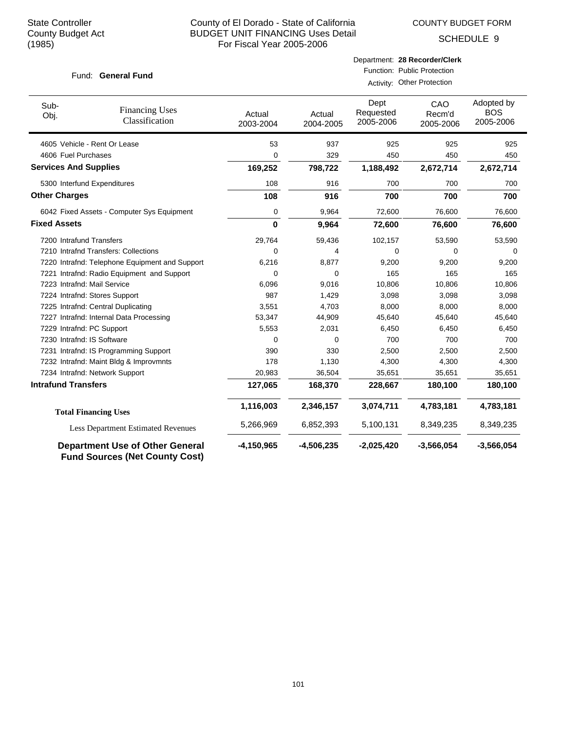COUNTY BUDGET FORM

SCHEDULE 9

#### Fund: General Fund

#### Department: **28 Recorder/Clerk** Function: Public Protection

Activity: Other Protection

| Sub-<br>Obj.                 | <b>Financing Uses</b><br>Classification                                         | Actual<br>2003-2004 | Actual<br>2004-2005 | Dept<br>Requested<br>2005-2006 | CAO<br>Recm'd<br>2005-2006 | Adopted by<br><b>BOS</b><br>2005-2006 |
|------------------------------|---------------------------------------------------------------------------------|---------------------|---------------------|--------------------------------|----------------------------|---------------------------------------|
|                              | 4605 Vehicle - Rent Or Lease                                                    | 53                  | 937                 | 925                            | 925                        | 925                                   |
| 4606 Fuel Purchases          |                                                                                 | 0                   | 329                 | 450                            | 450                        | 450                                   |
| <b>Services And Supplies</b> |                                                                                 | 169,252             | 798,722             | 1,188,492                      | 2,672,714                  | 2,672,714                             |
| 5300 Interfund Expenditures  |                                                                                 | 108                 | 916                 | 700                            | 700                        | 700                                   |
| <b>Other Charges</b>         |                                                                                 | 108                 | 916                 | 700                            | 700                        | 700                                   |
|                              | 6042 Fixed Assets - Computer Sys Equipment                                      | 0                   | 9,964               | 72,600                         | 76,600                     | 76,600                                |
| <b>Fixed Assets</b>          |                                                                                 | 0                   | 9,964               | 72,600                         | 76,600                     | 76,600                                |
| 7200 Intrafund Transfers     |                                                                                 | 29,764              | 59,436              | 102,157                        | 53,590                     | 53,590                                |
|                              | 7210 Intrafnd Transfers: Collections                                            | 0                   | 4                   | 0                              | 0                          | $\Omega$                              |
|                              | 7220 Intrafnd: Telephone Equipment and Support                                  | 6,216               | 8,877               | 9,200                          | 9,200                      | 9,200                                 |
|                              | 7221 Intrafnd: Radio Equipment and Support                                      | $\Omega$            | $\Omega$            | 165                            | 165                        | 165                                   |
| 7223 Intrafnd: Mail Service  |                                                                                 | 6,096               | 9,016               | 10,806                         | 10,806                     | 10,806                                |
|                              | 7224 Intrafnd: Stores Support                                                   | 987                 | 1,429               | 3,098                          | 3,098                      | 3,098                                 |
|                              | 7225 Intrafnd: Central Duplicating                                              | 3,551               | 4,703               | 8,000                          | 8,000                      | 8,000                                 |
|                              | 7227 Intrafnd: Internal Data Processing                                         | 53,347              | 44,909              | 45,640                         | 45,640                     | 45,640                                |
| 7229 Intrafnd: PC Support    |                                                                                 | 5,553               | 2,031               | 6,450                          | 6,450                      | 6,450                                 |
| 7230 Intrafnd: IS Software   |                                                                                 | 0                   | 0                   | 700                            | 700                        | 700                                   |
|                              | 7231 Intrafnd: IS Programming Support                                           | 390                 | 330                 | 2,500                          | 2,500                      | 2,500                                 |
|                              | 7232 Intrafnd: Maint Bldg & Improvmnts                                          | 178                 | 1,130               | 4,300                          | 4,300                      | 4,300                                 |
|                              | 7234 Intrafnd: Network Support                                                  | 20,983              | 36,504              | 35,651                         | 35,651                     | 35,651                                |
| <b>Intrafund Transfers</b>   |                                                                                 | 127,065             | 168,370             | 228,667                        | 180,100                    | 180,100                               |
|                              | <b>Total Financing Uses</b>                                                     | 1,116,003           | 2,346,157           | 3,074,711                      | 4,783,181                  | 4,783,181                             |
|                              | <b>Less Department Estimated Revenues</b>                                       | 5,266,969           | 6,852,393           | 5,100,131                      | 8,349,235                  | 8,349,235                             |
|                              | <b>Department Use of Other General</b><br><b>Fund Sources (Net County Cost)</b> | $-4,150,965$        | $-4,506,235$        | $-2,025,420$                   | $-3,566,054$               | $-3,566,054$                          |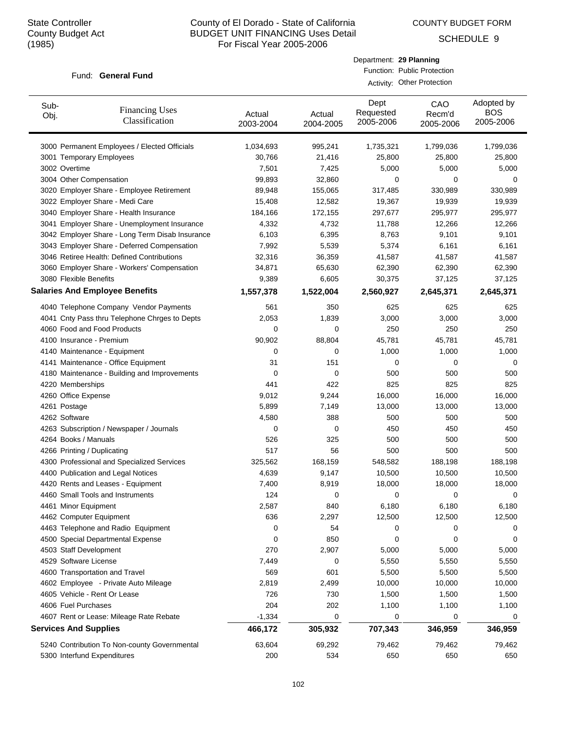COUNTY BUDGET FORM

Department: **29 Planning** Function: Public Protection

SCHEDULE 9

#### Fund: General Fund

|              |                                                 | Activity: Other Protection |                     |                                |                            |                                       |  |  |
|--------------|-------------------------------------------------|----------------------------|---------------------|--------------------------------|----------------------------|---------------------------------------|--|--|
| Sub-<br>Obj. | <b>Financing Uses</b><br>Classification         | Actual<br>2003-2004        | Actual<br>2004-2005 | Dept<br>Requested<br>2005-2006 | CAO<br>Recm'd<br>2005-2006 | Adopted by<br><b>BOS</b><br>2005-2006 |  |  |
|              | 3000 Permanent Employees / Elected Officials    | 1,034,693                  | 995,241             | 1,735,321                      | 1,799,036                  | 1,799,036                             |  |  |
|              | 3001 Temporary Employees                        | 30,766                     | 21,416              | 25,800                         | 25,800                     | 25,800                                |  |  |
|              | 3002 Overtime                                   | 7,501                      | 7,425               | 5,000                          | 5,000                      | 5,000                                 |  |  |
|              | 3004 Other Compensation                         | 99,893                     | 32,860              | 0                              | 0                          | 0                                     |  |  |
|              | 3020 Employer Share - Employee Retirement       | 89,948                     | 155,065             | 317,485                        | 330,989                    | 330,989                               |  |  |
|              | 3022 Employer Share - Medi Care                 | 15,408                     | 12,582              | 19,367                         | 19,939                     | 19,939                                |  |  |
|              | 3040 Employer Share - Health Insurance          | 184,166                    | 172,155             | 297,677                        | 295,977                    | 295,977                               |  |  |
|              | 3041 Employer Share - Unemployment Insurance    | 4,332                      | 4,732               | 11,788                         | 12,266                     | 12,266                                |  |  |
|              | 3042 Employer Share - Long Term Disab Insurance | 6,103                      | 6,395               | 8,763                          | 9,101                      | 9,101                                 |  |  |
|              | 3043 Employer Share - Deferred Compensation     | 7,992                      | 5,539               | 5,374                          | 6,161                      | 6,161                                 |  |  |
|              | 3046 Retiree Health: Defined Contributions      | 32,316                     | 36,359              | 41,587                         | 41,587                     | 41,587                                |  |  |
|              | 3060 Employer Share - Workers' Compensation     | 34,871                     | 65,630              | 62,390                         | 62,390                     | 62,390                                |  |  |
|              | 3080 Flexible Benefits                          | 9,389                      | 6,605               | 30,375                         | 37,125                     | 37,125                                |  |  |
|              | <b>Salaries And Employee Benefits</b>           | 1,557,378                  | 1,522,004           | 2,560,927                      | 2,645,371                  | 2,645,371                             |  |  |
|              | 4040 Telephone Company Vendor Payments          | 561                        | 350                 | 625                            | 625                        | 625                                   |  |  |
|              | 4041 Cnty Pass thru Telephone Chrges to Depts   | 2,053                      | 1,839               | 3,000                          | 3,000                      | 3,000                                 |  |  |
|              | 4060 Food and Food Products                     | 0                          | 0                   | 250                            | 250                        | 250                                   |  |  |
|              | 4100 Insurance - Premium                        | 90,902                     | 88,804              | 45,781                         | 45,781                     | 45,781                                |  |  |
|              | 4140 Maintenance - Equipment                    | 0                          | 0                   | 1,000                          | 1,000                      | 1,000                                 |  |  |
|              | 4141 Maintenance - Office Equipment             | 31                         | 151                 | 0                              | 0                          | 0                                     |  |  |
|              | 4180 Maintenance - Building and Improvements    | 0                          | 0                   | 500                            | 500                        | 500                                   |  |  |
|              | 4220 Memberships                                | 441                        | 422                 | 825                            | 825                        | 825                                   |  |  |
|              | 4260 Office Expense                             | 9,012                      | 9,244               | 16,000                         | 16,000                     | 16,000                                |  |  |
|              |                                                 | 5,899                      | 7,149               | 13,000                         |                            |                                       |  |  |
|              | 4261 Postage<br>4262 Software                   | 4,580                      | 388                 | 500                            | 13,000<br>500              | 13,000<br>500                         |  |  |
|              |                                                 | 0                          | 0                   | 450                            | 450                        | 450                                   |  |  |
|              | 4263 Subscription / Newspaper / Journals        |                            |                     |                                |                            |                                       |  |  |
|              | 4264 Books / Manuals                            | 526<br>517                 | 325                 | 500                            | 500                        | 500                                   |  |  |
|              | 4266 Printing / Duplicating                     |                            | 56                  | 500                            | 500                        | 500                                   |  |  |
|              | 4300 Professional and Specialized Services      | 325,562                    | 168,159             | 548,582                        | 188,198                    | 188,198                               |  |  |
|              | 4400 Publication and Legal Notices              | 4,639                      | 9,147               | 10,500                         | 10,500                     | 10,500                                |  |  |
|              | 4420 Rents and Leases - Equipment               | 7,400                      | 8,919               | 18,000                         | 18,000                     | 18,000                                |  |  |
|              | 4460 Small Tools and Instruments                | 124                        | $\cup$              | O                              | $\mathsf{U}$               | $\cup$                                |  |  |
|              | 4461 Minor Equipment                            | 2,587                      | 840                 | 6,180                          | 6,180                      | 6,180                                 |  |  |
|              | 4462 Computer Equipment                         | 636                        | 2,297               | 12,500                         | 12,500                     | 12,500                                |  |  |
|              | 4463 Telephone and Radio Equipment              | 0                          | 54                  | 0                              | 0                          | 0                                     |  |  |
|              | 4500 Special Departmental Expense               | 0                          | 850                 | 0                              | 0                          | 0                                     |  |  |
|              | 4503 Staff Development                          | 270                        | 2,907               | 5,000                          | 5,000                      | 5,000                                 |  |  |
|              | 4529 Software License                           | 7,449                      | 0                   | 5,550                          | 5,550                      | 5,550                                 |  |  |
|              | 4600 Transportation and Travel                  | 569                        | 601                 | 5,500                          | 5,500                      | 5,500                                 |  |  |
|              | 4602 Employee - Private Auto Mileage            | 2,819                      | 2,499               | 10,000                         | 10,000                     | 10,000                                |  |  |
|              | 4605 Vehicle - Rent Or Lease                    | 726                        | 730                 | 1,500                          | 1,500                      | 1,500                                 |  |  |
|              | 4606 Fuel Purchases                             | 204                        | 202                 | 1,100                          | 1,100                      | 1,100                                 |  |  |
|              | 4607 Rent or Lease: Mileage Rate Rebate         | $-1,334$                   | 0                   | 0                              | 0                          | 0                                     |  |  |
|              | <b>Services And Supplies</b>                    | 466,172                    | 305,932             | 707,343                        | 346,959                    | 346,959                               |  |  |
|              | 5240 Contribution To Non-county Governmental    | 63,604                     | 69,292              | 79,462                         | 79,462                     | 79,462                                |  |  |
|              | 5300 Interfund Expenditures                     | 200                        | 534                 | 650                            | 650                        | 650                                   |  |  |